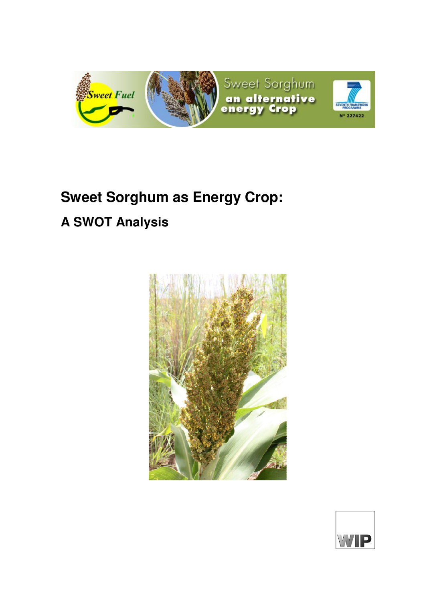

# **Sweet Sorghum as Energy Crop:**

## **A SWOT Analysis**



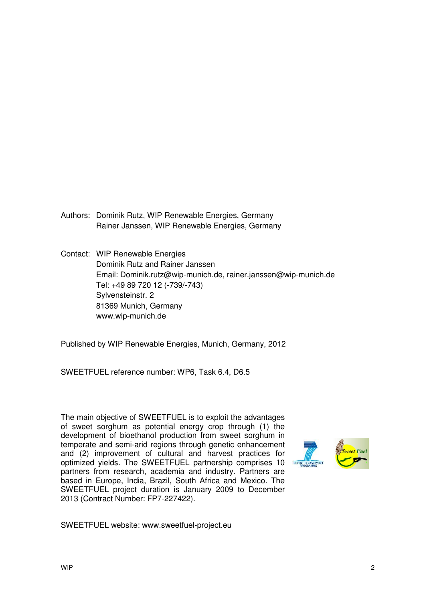- Authors: Dominik Rutz, WIP Renewable Energies, Germany Rainer Janssen, WIP Renewable Energies, Germany
- Contact: WIP Renewable Energies Dominik Rutz and Rainer Janssen Email: Dominik.rutz@wip-munich.de, rainer.janssen@wip-munich.de Tel: +49 89 720 12 (-739/-743) Sylvensteinstr. 2 81369 Munich, Germany www.wip-munich.de

Published by WIP Renewable Energies, Munich, Germany, 2012

SWEETFUEL reference number: WP6, Task 6.4, D6.5

The main objective of SWEETFUEL is to exploit the advantages of sweet sorghum as potential energy crop through (1) the development of bioethanol production from sweet sorghum in temperate and semi-arid regions through genetic enhancement and (2) improvement of cultural and harvest practices for optimized yields. The SWEETFUEL partnership comprises 10 partners from research, academia and industry. Partners are based in Europe, India, Brazil, South Africa and Mexico. The SWEETFUEL project duration is January 2009 to December 2013 (Contract Number: FP7-227422).



SWEETFUEL website: www.sweetfuel-project.eu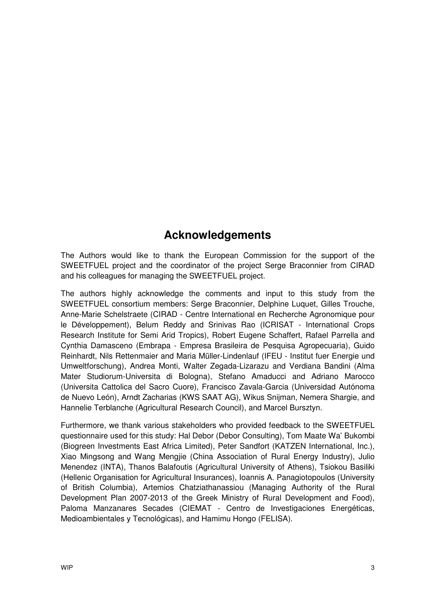## **Acknowledgements**

The Authors would like to thank the European Commission for the support of the SWEETFUEL project and the coordinator of the project Serge Braconnier from CIRAD and his colleagues for managing the SWEETFUEL project.

The authors highly acknowledge the comments and input to this study from the SWEETFUEL consortium members: Serge Braconnier, Delphine Luquet, Gilles Trouche, Anne-Marie Schelstraete (CIRAD - Centre International en Recherche Agronomique pour le Développement), Belum Reddy and Srinivas Rao (ICRISAT - International Crops Research Institute for Semi Arid Tropics), Robert Eugene Schaffert, Rafael Parrella and Cynthia Damasceno (Embrapa - Empresa Brasileira de Pesquisa Agropecuaria), Guido Reinhardt, Nils Rettenmaier and Maria Müller-Lindenlauf (IFEU - Institut fuer Energie und Umweltforschung), Andrea Monti, Walter Zegada-Lizarazu and Verdiana Bandini (Alma Mater Studiorum-Universita di Bologna), Stefano Amaducci and Adriano Marocco (Universita Cattolica del Sacro Cuore), Francisco Zavala-Garcia (Universidad Autónoma de Nuevo León), Arndt Zacharias (KWS SAAT AG), Wikus Snijman, Nemera Shargie, and Hannelie Terblanche (Agricultural Research Council), and Marcel Bursztyn.

Furthermore, we thank various stakeholders who provided feedback to the SWEETFUEL questionnaire used for this study: Hal Debor (Debor Consulting), Tom Maate Wa' Bukombi (Biogreen Investments East Africa Limited), Peter Sandfort (KATZEN International, Inc.), Xiao Mingsong and Wang Mengjie (China Association of Rural Energy Industry), Julio Menendez (INTA), Thanos Balafoutis (Agricultural University of Athens), Tsiokou Basiliki (Hellenic Organisation for Agricultural Insurances), Ioannis A. Panagiotopoulos (University of British Columbia), Artemios Chatziathanassiou (Managing Authority of the Rural Development Plan 2007-2013 of the Greek Ministry of Rural Development and Food), Paloma Manzanares Secades (CIEMAT - Centro de Investigaciones Energéticas, Medioambientales y Tecnológicas), and Hamimu Hongo (FELISA).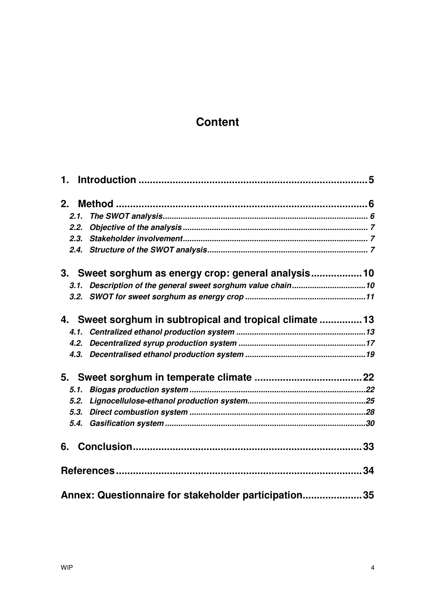## **Content**

| 1.                                                          |  |
|-------------------------------------------------------------|--|
|                                                             |  |
| 2.                                                          |  |
| 2.1.                                                        |  |
| 2.2.                                                        |  |
| 2.3.                                                        |  |
|                                                             |  |
| 3. Sweet sorghum as energy crop: general analysis10         |  |
| 3.1. Description of the general sweet sorghum value chain10 |  |
|                                                             |  |
| 4. Sweet sorghum in subtropical and tropical climate 13     |  |
|                                                             |  |
| 4.2.                                                        |  |
|                                                             |  |
|                                                             |  |
|                                                             |  |
| 5.1.                                                        |  |
| 5.2.                                                        |  |
| 5.3.                                                        |  |
| 5.4.                                                        |  |
|                                                             |  |
|                                                             |  |
| Annex: Questionnaire for stakeholder participation35        |  |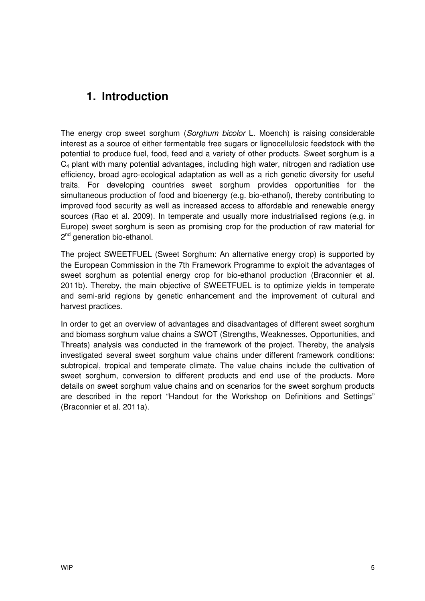## **1. Introduction**

The energy crop sweet sorghum (Sorghum bicolor L. Moench) is raising considerable interest as a source of either fermentable free sugars or lignocellulosic feedstock with the potential to produce fuel, food, feed and a variety of other products. Sweet sorghum is a C4 plant with many potential advantages, including high water, nitrogen and radiation use efficiency, broad agro-ecological adaptation as well as a rich genetic diversity for useful traits. For developing countries sweet sorghum provides opportunities for the simultaneous production of food and bioenergy (e.g. bio-ethanol), thereby contributing to improved food security as well as increased access to affordable and renewable energy sources (Rao et al. 2009). In temperate and usually more industrialised regions (e.g. in Europe) sweet sorghum is seen as promising crop for the production of raw material for 2<sup>nd</sup> generation bio-ethanol.

The project SWEETFUEL (Sweet Sorghum: An alternative energy crop) is supported by the European Commission in the 7th Framework Programme to exploit the advantages of sweet sorghum as potential energy crop for bio-ethanol production (Braconnier et al. 2011b). Thereby, the main objective of SWEETFUEL is to optimize yields in temperate and semi-arid regions by genetic enhancement and the improvement of cultural and harvest practices.

In order to get an overview of advantages and disadvantages of different sweet sorghum and biomass sorghum value chains a SWOT (Strengths, Weaknesses, Opportunities, and Threats) analysis was conducted in the framework of the project. Thereby, the analysis investigated several sweet sorghum value chains under different framework conditions: subtropical, tropical and temperate climate. The value chains include the cultivation of sweet sorghum, conversion to different products and end use of the products. More details on sweet sorghum value chains and on scenarios for the sweet sorghum products are described in the report "Handout for the Workshop on Definitions and Settings" (Braconnier et al. 2011a).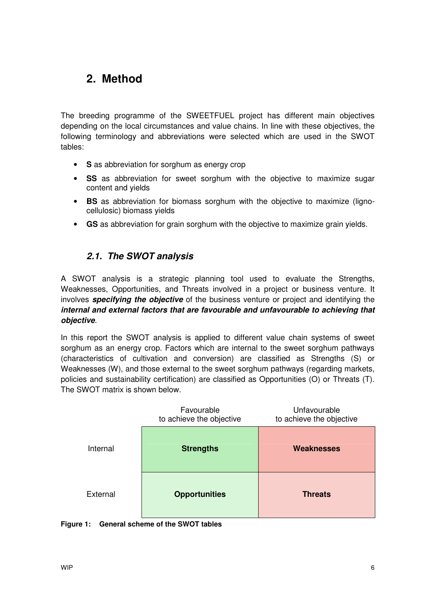## **2. Method**

The breeding programme of the SWEETFUEL project has different main objectives depending on the local circumstances and value chains. In line with these objectives, the following terminology and abbreviations were selected which are used in the SWOT tables:

- **S** as abbreviation for sorghum as energy crop
- **SS** as abbreviation for sweet sorghum with the objective to maximize sugar content and yields
- **BS** as abbreviation for biomass sorghum with the objective to maximize (lignocellulosic) biomass yields
- **GS** as abbreviation for grain sorghum with the objective to maximize grain yields.

### **2.1. The SWOT analysis**

A SWOT analysis is a strategic planning tool used to evaluate the Strengths, Weaknesses, Opportunities, and Threats involved in a project or business venture. It involves **specifying the objective** of the business venture or project and identifying the **internal and external factors that are favourable and unfavourable to achieving that objective**.

In this report the SWOT analysis is applied to different value chain systems of sweet sorghum as an energy crop. Factors which are internal to the sweet sorghum pathways (characteristics of cultivation and conversion) are classified as Strengths (S) or Weaknesses (W), and those external to the sweet sorghum pathways (regarding markets, policies and sustainability certification) are classified as Opportunities (O) or Threats (T). The SWOT matrix is shown below.

|          | Favourable<br>to achieve the objective | Unfavourable<br>to achieve the objective |
|----------|----------------------------------------|------------------------------------------|
| Internal | <b>Strengths</b>                       | <b>Weaknesses</b>                        |
| External | <b>Opportunities</b>                   | <b>Threats</b>                           |

#### **Figure 1: General scheme of the SWOT tables**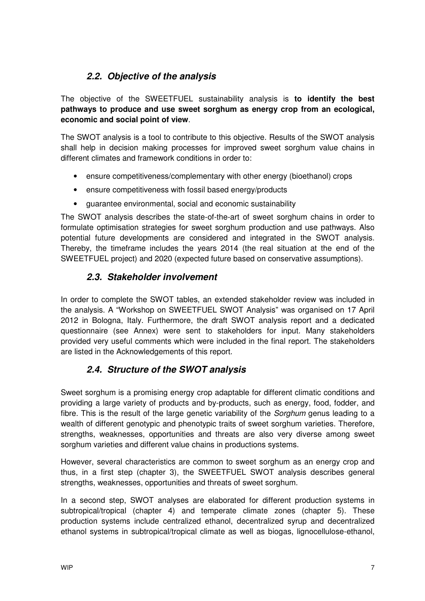## **2.2. Objective of the analysis**

The objective of the SWEETFUEL sustainability analysis is **to identify the best pathways to produce and use sweet sorghum as energy crop from an ecological, economic and social point of view**.

The SWOT analysis is a tool to contribute to this objective. Results of the SWOT analysis shall help in decision making processes for improved sweet sorghum value chains in different climates and framework conditions in order to:

- ensure competitiveness/complementary with other energy (bioethanol) crops
- ensure competitiveness with fossil based energy/products
- guarantee environmental, social and economic sustainability

The SWOT analysis describes the state-of-the-art of sweet sorghum chains in order to formulate optimisation strategies for sweet sorghum production and use pathways. Also potential future developments are considered and integrated in the SWOT analysis. Thereby, the timeframe includes the years 2014 (the real situation at the end of the SWEETFUEL project) and 2020 (expected future based on conservative assumptions).

### **2.3. Stakeholder involvement**

In order to complete the SWOT tables, an extended stakeholder review was included in the analysis. A "Workshop on SWEETFUEL SWOT Analysis" was organised on 17 April 2012 in Bologna, Italy. Furthermore, the draft SWOT analysis report and a dedicated questionnaire (see Annex) were sent to stakeholders for input. Many stakeholders provided very useful comments which were included in the final report. The stakeholders are listed in the Acknowledgements of this report.

## **2.4. Structure of the SWOT analysis**

Sweet sorghum is a promising energy crop adaptable for different climatic conditions and providing a large variety of products and by-products, such as energy, food, fodder, and fibre. This is the result of the large genetic variability of the Sorghum genus leading to a wealth of different genotypic and phenotypic traits of sweet sorghum varieties. Therefore, strengths, weaknesses, opportunities and threats are also very diverse among sweet sorghum varieties and different value chains in productions systems.

However, several characteristics are common to sweet sorghum as an energy crop and thus, in a first step (chapter 3), the SWEETFUEL SWOT analysis describes general strengths, weaknesses, opportunities and threats of sweet sorghum.

In a second step, SWOT analyses are elaborated for different production systems in subtropical/tropical (chapter 4) and temperate climate zones (chapter 5). These production systems include centralized ethanol, decentralized syrup and decentralized ethanol systems in subtropical/tropical climate as well as biogas, lignocellulose-ethanol,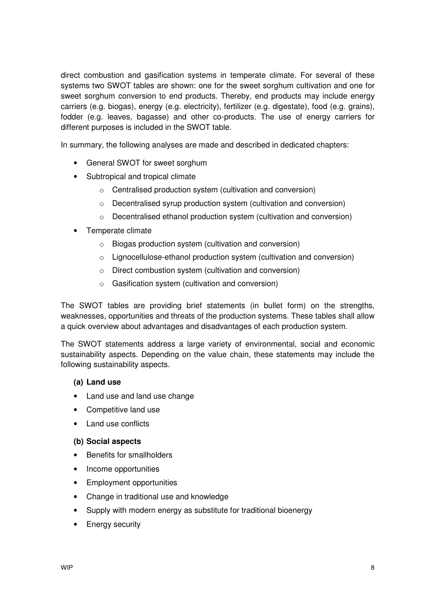direct combustion and gasification systems in temperate climate. For several of these systems two SWOT tables are shown: one for the sweet sorghum cultivation and one for sweet sorghum conversion to end products. Thereby, end products may include energy carriers (e.g. biogas), energy (e.g. electricity), fertilizer (e.g. digestate), food (e.g. grains), fodder (e.g. leaves, bagasse) and other co-products. The use of energy carriers for different purposes is included in the SWOT table.

In summary, the following analyses are made and described in dedicated chapters:

- General SWOT for sweet sorghum
- Subtropical and tropical climate
	- o Centralised production system (cultivation and conversion)
	- o Decentralised syrup production system (cultivation and conversion)
	- o Decentralised ethanol production system (cultivation and conversion)
- Temperate climate
	- o Biogas production system (cultivation and conversion)
	- o Lignocellulose-ethanol production system (cultivation and conversion)
	- o Direct combustion system (cultivation and conversion)
	- o Gasification system (cultivation and conversion)

The SWOT tables are providing brief statements (in bullet form) on the strengths, weaknesses, opportunities and threats of the production systems. These tables shall allow a quick overview about advantages and disadvantages of each production system.

The SWOT statements address a large variety of environmental, social and economic sustainability aspects. Depending on the value chain, these statements may include the following sustainability aspects.

#### **(a) Land use**

- Land use and land use change
- Competitive land use
- Land use conflicts

#### **(b) Social aspects**

- Benefits for smallholders
- Income opportunities
- Employment opportunities
- Change in traditional use and knowledge
- Supply with modern energy as substitute for traditional bioenergy
- Energy security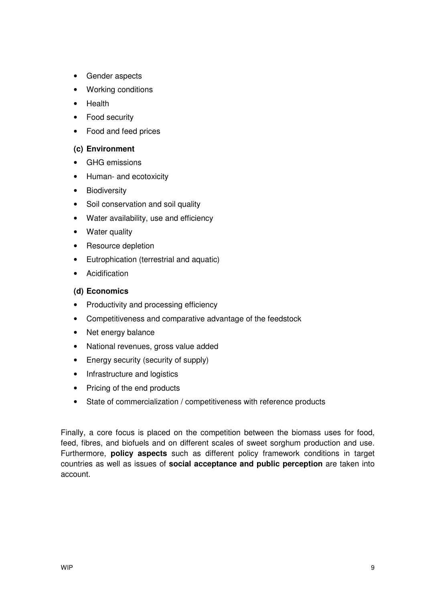- Gender aspects
- Working conditions
- Health
- Food security
- Food and feed prices

#### **(c) Environment**

- GHG emissions
- Human- and ecotoxicity
- Biodiversity
- Soil conservation and soil quality
- Water availability, use and efficiency
- Water quality
- Resource depletion
- Eutrophication (terrestrial and aquatic)
- Acidification

#### **(d) Economics**

- Productivity and processing efficiency
- Competitiveness and comparative advantage of the feedstock
- Net energy balance
- National revenues, gross value added
- Energy security (security of supply)
- Infrastructure and logistics
- Pricing of the end products
- State of commercialization / competitiveness with reference products

Finally, a core focus is placed on the competition between the biomass uses for food, feed, fibres, and biofuels and on different scales of sweet sorghum production and use. Furthermore, **policy aspects** such as different policy framework conditions in target countries as well as issues of **social acceptance and public perception** are taken into account.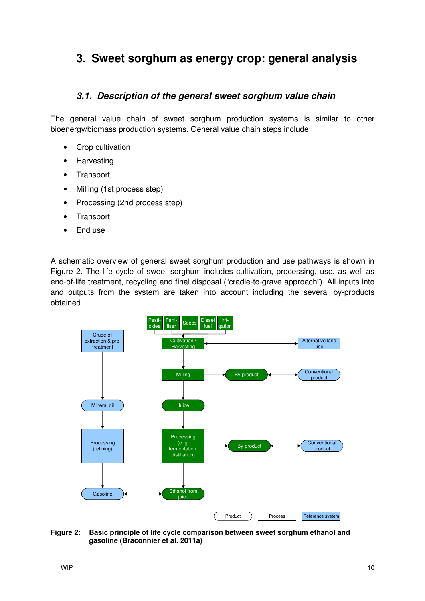## **3. Sweet sorghum as energy crop: general analysis**

### **3.1. Description of the general sweet sorghum value chain**

The general value chain of sweet sorghum production systems is similar to other bioenergy/biomass production systems. General value chain steps include:

- Crop cultivation
- Harvesting
- Transport
- Milling (1st process step)
- Processing (2nd process step)
- Transport
- End use

A schematic overview of general sweet sorghum production and use pathways is shown in Figure 2. The life cycle of sweet sorghum includes cultivation, processing, use, as well as end-of-life treatment, recycling and final disposal ("cradle-to-grave approach"). All inputs into and outputs from the system are taken into account including the several by-products obtained.



#### **Figure 2: Basic principle of life cycle comparison between sweet sorghum ethanol and gasoline (Braconnier et al. 2011a)**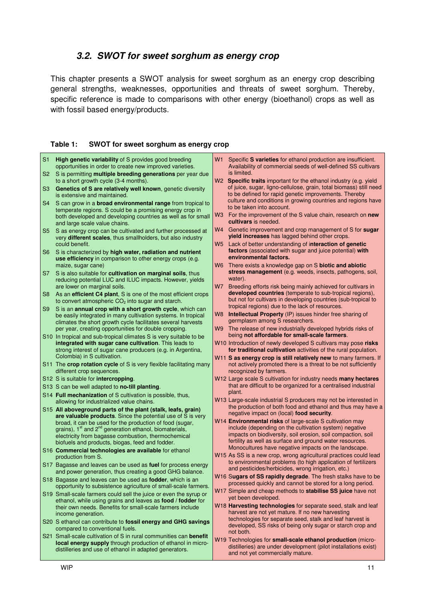### **3.2. SWOT for sweet sorghum as energy crop**

This chapter presents a SWOT analysis for sweet sorghum as an energy crop describing general strengths, weaknesses, opportunities and threats of sweet sorghum. Thereby, specific reference is made to comparisons with other energy (bioethanol) crops as well as with fossil based energy/products.

#### **Table 1: SWOT for sweet sorghum as energy crop**

| S <sub>1</sub> | High genetic variability of S provides good breeding<br>opportunities in order to create new improved varieties.                                          | W1             | Specific S varieties for ethanol production are insufficient.<br>Availability of commercial seeds of well-defined SS cultivars                                                            |
|----------------|-----------------------------------------------------------------------------------------------------------------------------------------------------------|----------------|-------------------------------------------------------------------------------------------------------------------------------------------------------------------------------------------|
| S <sub>2</sub> | S is permitting multiple breeding generations per year due<br>to a short growth cycle (3-4 months).                                                       |                | is limited.<br>W2 Specific traits important for the ethanol industry (e.g. yield                                                                                                          |
| S <sub>3</sub> | Genetics of S are relatively well known, genetic diversity<br>is extensive and maintained.                                                                |                | of juice, sugar, ligno-cellulose, grain, total biomass) still need<br>to be defined for rapid genetic improvements. Thereby                                                               |
| S4             | S can grow in a <b>broad environmental range</b> from tropical to                                                                                         |                | culture and conditions in growing countries and regions have<br>to be taken into account.                                                                                                 |
|                | temperate regions. S could be a promising energy crop in<br>both developed and developing countries as well as for small<br>and large scale value chains. | W3             | For the improvement of the S value chain, research on <b>new</b><br>cultivars is needed.                                                                                                  |
| S <sub>5</sub> | S as energy crop can be cultivated and further processed at<br>very different scales, thus smallholders, but also industry<br>could benefit.              | W4             | Genetic improvement and crop management of S for sugar<br>yield increases has lagged behind other crops.<br>W5 Lack of better understanding of interaction of genetic                     |
| S <sub>6</sub> | S is characterized by high water, radiation and nutrient                                                                                                  |                | factors (associated with sugar and juice potential) with                                                                                                                                  |
|                | use efficiency in comparison to other energy crops (e.g.<br>maize, sugar cane)                                                                            |                | environmental factors.<br>W6 There exists a knowledge gap on S biotic and abiotic                                                                                                         |
| S7             | S is also suitable for cultivation on marginal soils, thus<br>reducing potential LUC and ILUC impacts. However, yields                                    |                | stress management (e.g. weeds, insects, pathogens, soil,<br>water).                                                                                                                       |
|                | are lower on marginal soils.                                                                                                                              | <b>W7</b>      | Breeding efforts risk being mainly achieved for cultivars in                                                                                                                              |
| S8             | As an efficient C4 plant, S is one of the most efficient crops<br>to convert atmospheric $CO2$ into sugar and starch.                                     |                | developed countries (temperate to sub-tropical regions),<br>but not for cultivars in developing countries (sub-tropical to<br>tropical regions) due to the lack of resources.             |
| S <sub>9</sub> | S is an annual crop with a short growth cycle, which can<br>be easily integrated in many cultivation systems. In tropical                                 | W <sub>8</sub> | Intellectual Property (IP) issues hinder free sharing of                                                                                                                                  |
|                | climates the short growth cycle facilitates several harvests<br>per year, creating opportunities for double cropping.                                     | W <sub>9</sub> | germplasm among S researchers.<br>The release of new industrially developed hybrids risks of                                                                                              |
|                | S10 In tropical and sub-tropical climates S is very suitable to be                                                                                        |                | being not affordable for small-scale farmers.                                                                                                                                             |
|                | integrated with sugar cane cultivation. This leads to<br>strong interest of sugar cane producers (e.g. in Argentina,                                      |                | W10 Introduction of newly developed S cultivars may pose risks<br>for traditional cultivation activities of the rural population.                                                         |
|                | Colombia) in S cultivation.<br>S11 The crop rotation cycle of S is very flexible facilitating many                                                        |                | W11 S as energy crop is still relatively new to many farmers. If<br>not actively promoted there is a threat to be not sufficiently                                                        |
|                | different crop sequences.                                                                                                                                 |                | recognized by farmers.                                                                                                                                                                    |
|                | S12 S is suitable for <b>intercropping</b> .<br>S13 S can be well adapted to no-till planting.                                                            |                | W12 Large scale S cultivation for industry needs many hectares<br>that are difficult to be organized for a centralised industrial                                                         |
|                | S14 Full mechanization of S cultivation is possible, thus,                                                                                                |                | plant.                                                                                                                                                                                    |
|                | allowing for industrialized value chains.                                                                                                                 |                | W13 Large-scale industrial S producers may not be interested in<br>the production of both food and ethanol and thus may have a                                                            |
|                | S15 All aboveground parts of the plant (stalk, leafs, grain)<br>are valuable products. Since the potential use of S is very                               |                | negative impact on (local) food security.                                                                                                                                                 |
|                | broad, it can be used for the production of food (sugar,<br>grains), 1 <sup>st</sup> and 2 <sup>nd</sup> generation ethanol, biomaterials,                |                | W14 Environmental risks of large-scale S cultivation may<br>include (depending on the cultivation system) negative                                                                        |
|                | electricity from bagasse combustion, thermochemical                                                                                                       |                | impacts on biodiversity, soil erosion, soil compaction, soil                                                                                                                              |
|                | biofuels and products, biogas, feed and fodder.                                                                                                           |                | fertility as well as surface and ground water resources.<br>Monocultures have negative impacts on the landscape.                                                                          |
|                | S16 Commercial technologies are available for ethanol<br>production from S.                                                                               |                | W15 As SS is a new crop, wrong agricultural practices could lead                                                                                                                          |
|                | S17 Bagasse and leaves can be used as fuel for process energy<br>and power generation, thus creating a good GHG balance.                                  |                | to environmental problems (to high application of fertilizers<br>and pesticides/herbicides, wrong irrigation, etc.)                                                                       |
|                | S18 Bagasse and leaves can be used as <b>fodder</b> , which is an<br>opportunity to subsistence agriculture of small-scale farmers.                       |                | W16 Sugars of SS rapidly degrade. The fresh stalks have to be<br>processed quickly and cannot be stored for a long period.<br>W17 Simple and cheap methods to stabilise SS juice have not |
|                | S19 Small-scale farmers could sell the juice or even the syrup or<br>ethanol, while using grains and leaves as food / fodder for                          |                | yet been developed.                                                                                                                                                                       |
|                | their own needs. Benefits for small-scale farmers include                                                                                                 |                | W18 Harvesting technologies for separate seed, stalk and leaf<br>harvest are not yet mature. If no new harvesting                                                                         |
|                | income generation.<br>S20 S ethanol can contribute to fossil energy and GHG savings                                                                       |                | technologies for separate seed, stalk and leaf harvest is                                                                                                                                 |
|                | compared to conventional fuels.                                                                                                                           |                | developed, SS risks of being only sugar or starch crop and<br>not both.                                                                                                                   |
|                | S21 Small-scale cultivation of S in rural communities can benefit<br><b>local energy supply</b> through production of ethanol in micro-                   |                | W19 Technologies for small-scale ethanol production (micro-                                                                                                                               |
|                | distilleries and use of ethanol in adapted generators.                                                                                                    |                | distilleries) are under development (pilot installations exist)<br>and not yet commercially mature.                                                                                       |
|                |                                                                                                                                                           |                |                                                                                                                                                                                           |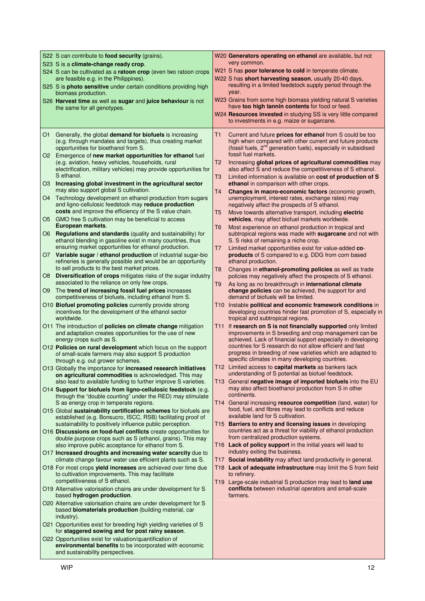|      | S22 S can contribute to <b>food security</b> (grains).                                                                                                                                        | W20 Generators operating on ethanol are available, but not                                                                                                                                                        |
|------|-----------------------------------------------------------------------------------------------------------------------------------------------------------------------------------------------|-------------------------------------------------------------------------------------------------------------------------------------------------------------------------------------------------------------------|
|      | S23 S is a climate-change ready crop.<br>S24 S can be cultivated as a ratoon crop (even two ratoon crops                                                                                      | very common.<br>W21 S has <b>poor tolerance to cold</b> in temperate climate.                                                                                                                                     |
|      | are feasible e.g. in the Philippines).                                                                                                                                                        | W22 S has short harvesting season, usually 20-40 days,                                                                                                                                                            |
|      | S25 S is <b>photo sensitive</b> under certain conditions providing high<br>biomass production.                                                                                                | resulting in a limited feedstock supply period through the<br>year.                                                                                                                                               |
|      | S26 Harvest time as well as sugar and juice behaviour is not<br>the same for all genotypes.                                                                                                   | W23 Grains from some high biomass yielding natural S varieties<br>have too high tannin contents for food or feed.                                                                                                 |
|      |                                                                                                                                                                                               | W24 Resources invested in studying SS is very little compared<br>to investments in e.g. maize or sugarcane.                                                                                                       |
| O1   | Generally, the global <b>demand for biofuels</b> is increasing<br>(e.g. through mandates and targets), thus creating market<br>opportunities for bioethanol from S.                           | T1<br>Current and future <b>prices for ethanol</b> from S could be too<br>high when compared with other current and future products<br>(fossil fuels, 2 <sup>nd</sup> generation fuels), especially in subsidised |
|      | O2 Emergence of new market opportunities for ethanol fuel<br>(e.g. aviation, heavy vehicles, households, rural                                                                                | fossil fuel markets.<br>T2<br>Increasing global prices of agricultural commodities may                                                                                                                            |
|      | electrification, military vehicles) may provide opportunities for<br>S ethanol.                                                                                                               | also affect S and reduce the competitiveness of S ethanol.<br>T3<br>Limited information is available on cost of production of S                                                                                   |
|      | O3 Increasing global investment in the agricultural sector<br>may also support global S cultivation.                                                                                          | ethanol in comparison with other crops.<br>T4<br>Changes in macro-economic factors (economic growth,                                                                                                              |
| O4 · | Technology development on ethanol production from sugars<br>and ligno-cellulosic feedstock may reduce production<br>costs and improve the efficiency of the S value chain.                    | unemployment, interest rates, exchange rates) may<br>negatively affect the prospects of S ethanol.                                                                                                                |
| O5.  | GMO free S cultivation may be beneficial to access<br>European markets.                                                                                                                       | T5<br>Move towards alternative transport, including electric<br>vehicles, may affect biofuel markets worldwide.                                                                                                   |
| O6.  | Regulations and standards (quality and sustainability) for<br>ethanol blending in gasoline exist in many countries, thus<br>ensuring market opportunities for ethanol production.             | Most experience on ethanol production in tropical and<br>T6<br>subtropical regions was made with sugarcane and not with<br>S. S risks of remaining a niche crop.                                                  |
| O7 . | Variable sugar / ethanol production of industrial sugar-bio<br>refineries is generally possible and would be an opportunity                                                                   | Limited market opportunities exist for value-added co-<br>T7<br>products of S compared to e.g. DDG from corn based<br>ethanol production.                                                                         |
| O8   | to sell products to the best market prices.<br><b>Diversification of crops</b> mitigates risks of the sugar industry<br>associated to the reliance on only few crops.                         | Changes in ethanol-promoting policies as well as trade<br>T8<br>policies may negatively affect the prospects of S ethanol.                                                                                        |
| O9   | The trend of increasing fossil fuel prices increases<br>competitiveness of biofuels, including ethanol from S.                                                                                | T9<br>As long as no breakthrough in international climate<br>change policies can be achieved, the support for and<br>demand of biofuels will be limited.                                                          |
|      | O10 Biofuel promoting policies currently provide strong<br>incentives for the development of the ethanol sector<br>worldwide.                                                                 | T10 Instable political and economic framework conditions in<br>developing countries hinder fast promotion of S, especially in<br>tropical and subtropical regions.                                                |
|      | O11 The introduction of <b>policies on climate change</b> mitigation<br>and adaptation creates opportunities for the use of new<br>energy crops such as S.                                    | If research on S is not financially supported only limited<br>T11<br>improvements in S breeding and crop management can be<br>achieved. Lack of financial support especially in developing                        |
|      | O12 Policies on rural development which focus on the support<br>of small-scale farmers may also support S production<br>through e.g. out grower schemes.                                      | countries for S research do not allow efficient and fast<br>progress in breeding of new varieties which are adapted to<br>specific climates in many developing countries.                                         |
|      | O13 Globally the importance for increased research initiatives<br>on agricultural commodities is acknowledged. This may<br>also lead to available funding to further improve S varieties.     | T12 Limited access to capital markets as bankers lack<br>understanding of S potential as biofuel feedstock.<br>T13 General negative image of imported biofuels into the EU                                        |
|      | O14 Support for biofuels from ligno-cellulosic feedstock (e.g.<br>through the "double counting" under the RED) may stimulate<br>S as energy crop in temperate regions.                        | may also affect bioethanol production from S in other<br>continents.<br>T14 General increasing resource competition (land, water) for                                                                             |
|      | O15 Global sustainability certification schemes for biofuels are<br>established (e.g. Bonsucro, ISCC, RSB) facilitating proof of<br>sustainability to positively influence public perception. | food, fuel, and fibres may lead to conflicts and reduce<br>available land for S cultivation.<br>T15 Barriers to entry and licensing issues in developing                                                          |
|      | O16 Discussions on food-fuel conflicts create opportunities for<br>double purpose crops such as S (ethanol, grains). This may                                                                 | countries act as a threat for viability of ethanol production<br>from centralized production systems.                                                                                                             |
|      | also improve public acceptance for ethanol from S.<br>O17 Increased droughts and increasing water scarcity due to<br>climate change favour water use efficient plants such as S.              | T16 Lack of policy support in the initial years will lead to<br>industry exiting the business.<br>T17 Social instability may affect land productivity in general.                                                 |
|      | O18 For most crops yield increases are achieved over time due<br>to cultivation improvements. This may facilitate<br>competitiveness of S ethanol.                                            | T18 Lack of adequate infrastructure may limit the S from field<br>to refinery.<br>T19 Large-scale industrial S production may lead to land use                                                                    |
|      | O19 Alternative valorisation chains are under development for S<br>based hydrogen production.                                                                                                 | conflicts between industrial operators and small-scale<br>farmers.                                                                                                                                                |
|      | O20 Alternative valorisation chains are under development for S<br>based biomaterials production (building material, car<br>industry).                                                        |                                                                                                                                                                                                                   |
|      | O21 Opportunities exist for breeding high yielding varieties of S<br>for staggered sowing and for post rainy season.                                                                          |                                                                                                                                                                                                                   |
|      | O22 Opportunities exist for valuation/quantification of<br>environmental benefits to be incorporated with economic<br>and sustainability perspectives.                                        |                                                                                                                                                                                                                   |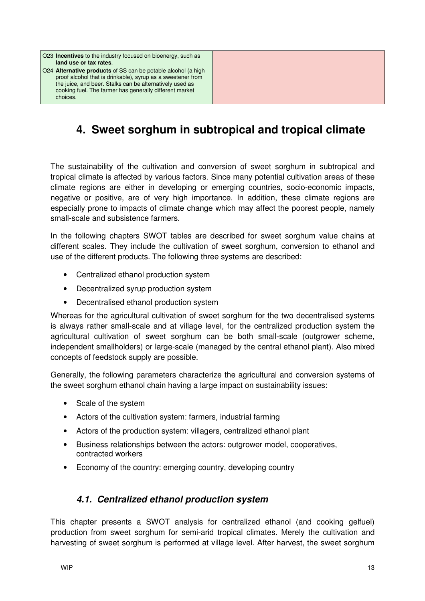O23 **Incentives** to the industry focused on bioenergy, such as **land use or tax rates**. O24 **Alternative products** of SS can be potable alcohol (a high proof alcohol that is drinkable), syrup as a sweetener from the juice, and beer. Stalks can be alternatively used as

cooking fuel. The farmer has generally different market

choices.

## **4. Sweet sorghum in subtropical and tropical climate**

The sustainability of the cultivation and conversion of sweet sorghum in subtropical and tropical climate is affected by various factors. Since many potential cultivation areas of these climate regions are either in developing or emerging countries, socio-economic impacts, negative or positive, are of very high importance. In addition, these climate regions are especially prone to impacts of climate change which may affect the poorest people, namely small-scale and subsistence farmers.

In the following chapters SWOT tables are described for sweet sorghum value chains at different scales. They include the cultivation of sweet sorghum, conversion to ethanol and use of the different products. The following three systems are described:

- Centralized ethanol production system
- Decentralized syrup production system
- Decentralised ethanol production system

Whereas for the agricultural cultivation of sweet sorghum for the two decentralised systems is always rather small-scale and at village level, for the centralized production system the agricultural cultivation of sweet sorghum can be both small-scale (outgrower scheme, independent smallholders) or large-scale (managed by the central ethanol plant). Also mixed concepts of feedstock supply are possible.

Generally, the following parameters characterize the agricultural and conversion systems of the sweet sorghum ethanol chain having a large impact on sustainability issues:

- Scale of the system
- Actors of the cultivation system: farmers, industrial farming
- Actors of the production system: villagers, centralized ethanol plant
- Business relationships between the actors: outgrower model, cooperatives, contracted workers
- Economy of the country: emerging country, developing country

#### **4.1. Centralized ethanol production system**

This chapter presents a SWOT analysis for centralized ethanol (and cooking gelfuel) production from sweet sorghum for semi-arid tropical climates. Merely the cultivation and harvesting of sweet sorghum is performed at village level. After harvest, the sweet sorghum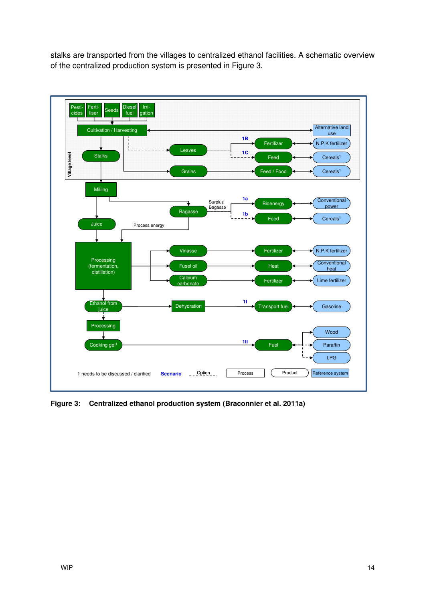stalks are transported from the villages to centralized ethanol facilities. A schematic overview of the centralized production system is presented in Figure 3.



**Figure 3: Centralized ethanol production system (Braconnier et al. 2011a)**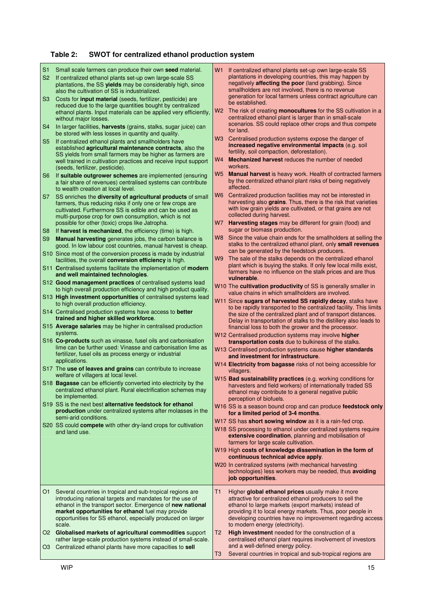### **Table 2: SWOT for centralized ethanol production system**

| S <sub>1</sub><br>S <sub>2</sub><br>S <sub>3</sub><br>S <sub>4</sub><br>S <sub>5</sub><br>S <sub>6</sub><br>S7<br>S <sub>8</sub><br>S <sub>9</sub> | Small scale farmers can produce their own seed material.<br>If centralized ethanol plants set-up own large-scale SS<br>plantations, the SS yields may be considerably high, since<br>also the cultivation of SS is industrialized.<br>Costs for <i>input material</i> (seeds, fertilizer, pesticide) are<br>reduced due to the large quantities bought by centralized<br>ethanol plants. Input materials can be applied very efficiently,<br>without major losses.<br>In larger facilities, harvests (grains, stalks, sugar juice) can<br>be stored with less losses in quantity and quality.<br>If centralized ethanol plants and smallholders have<br>established agricultural maintenance contracts, also the<br>SS yields from small farmers may be higher as farmers are<br>well trained in cultivation practices and receive input support<br>(seeds, fertilizer, pesticide).<br>If suitable outgrower schemes are implemented (ensuring<br>a fair share of revenues) centralised systems can contribute<br>to wealth creation at local level.<br>SS enriches the diversity of agricultural products of small<br>farmers, thus reducing risks if only one or few crops are<br>cultivated. Furthermore SS is edible and can be used as<br>multi-purpose crop for own consumption, which is not<br>possible for other (toxic) crops like Jatropha.<br>If harvest is mechanized, the efficiency (time) is high.<br><b>Manual harvesting</b> generates jobs, the carbon balance is<br>good. In low labour cost countries, manual harvest is cheap.<br>S10 Since most of the conversion process is made by industrial<br>facilities, the overall conversion efficiency is high.<br>S11 Centralised systems facilitate the implementation of modern<br>and well maintained technologies.<br>S12 Good management practices of centralised systems lead<br>to high overall production efficiency and high product quality.<br>S13 High investment opportunities of centralised systems lead<br>to high overall production efficiency.<br>S14 Centralised production systems have access to better<br>trained and higher skilled workforce.<br>S15 Average salaries may be higher in centralised production<br>systems.<br>S16 Co-products such as vinasse, fusel oils and carbonisation<br>lime can be further used: Vinasse and carbonisation lime as | W1<br>W <sub>2</sub><br>W3<br>W4<br>W5<br>W6<br>W7<br>W8<br>W <sub>9</sub> | If centralized ethanol plants set-up own large-scale SS<br>plantations in developing countries, this may happen by<br>negatively <b>affecting the poor</b> (land grabbing). Since<br>smallholders are not involved, there is no revenue<br>generation for local farmers unless contract agriculture can<br>be established.<br>The risk of creating monocultures for the SS cultivation in a<br>centralized ethanol plant is larger than in small-scale<br>scenarios. SS could replace other crops and thus compete<br>for land.<br>Centralised production systems expose the danger of<br>increased negative environmental impacts (e.g. soil<br>fertility, soil compaction, deforestation).<br><b>Mechanized harvest</b> reduces the number of needed<br>workers.<br>Manual harvest is heavy work. Health of contracted farmers<br>by the centralized ethanol plant risks of being negatively<br>affected.<br>Centralized production facilities may not be interested in<br>harvesting also grains. Thus, there is the risk that varieties<br>with low grain yields are cultivated, or that grains are not<br>collected during harvest.<br>Harvesting stages may be different for grain (food) and<br>sugar or biomass production.<br>Since the value chain ends for the smallholders at selling the<br>stalks to the centralized ethanol plant, only small revenues<br>can be generated by the feedstock producers.<br>The sale of the stalks depends on the centralized ethanol<br>plant which is buying the stalks. If only few local mills exist,<br>farmers have no influence on the stalk prices and are thus<br>vulnerable.<br>W <sub>10</sub> The <b>cultivation productivity</b> of SS is generally smaller in<br>value chains in which smallholders are involved.<br>W11 Since sugars of harvested SS rapidly decay, stalks have<br>to be rapidly transported to the centralized facility. This limits<br>the size of the centralized plant and of transport distances.<br>Delay in transportation of stalks to the distillery also leads to<br>financial loss to both the grower and the processor.<br>W12 Centralised production systems may involve higher<br>transportation costs due to bulkiness of the stalks. |
|----------------------------------------------------------------------------------------------------------------------------------------------------|------------------------------------------------------------------------------------------------------------------------------------------------------------------------------------------------------------------------------------------------------------------------------------------------------------------------------------------------------------------------------------------------------------------------------------------------------------------------------------------------------------------------------------------------------------------------------------------------------------------------------------------------------------------------------------------------------------------------------------------------------------------------------------------------------------------------------------------------------------------------------------------------------------------------------------------------------------------------------------------------------------------------------------------------------------------------------------------------------------------------------------------------------------------------------------------------------------------------------------------------------------------------------------------------------------------------------------------------------------------------------------------------------------------------------------------------------------------------------------------------------------------------------------------------------------------------------------------------------------------------------------------------------------------------------------------------------------------------------------------------------------------------------------------------------------------------------------------------------------------------------------------------------------------------------------------------------------------------------------------------------------------------------------------------------------------------------------------------------------------------------------------------------------------------------------------------------------------------------------------------------------------------------------------------------------------------------------------------------|----------------------------------------------------------------------------|----------------------------------------------------------------------------------------------------------------------------------------------------------------------------------------------------------------------------------------------------------------------------------------------------------------------------------------------------------------------------------------------------------------------------------------------------------------------------------------------------------------------------------------------------------------------------------------------------------------------------------------------------------------------------------------------------------------------------------------------------------------------------------------------------------------------------------------------------------------------------------------------------------------------------------------------------------------------------------------------------------------------------------------------------------------------------------------------------------------------------------------------------------------------------------------------------------------------------------------------------------------------------------------------------------------------------------------------------------------------------------------------------------------------------------------------------------------------------------------------------------------------------------------------------------------------------------------------------------------------------------------------------------------------------------------------------------------------------------------------------------------------------------------------------------------------------------------------------------------------------------------------------------------------------------------------------------------------------------------------------------------------------------------------------------------------------------------------------------------------------------------------------------------------------------------------------------------------------------|
|                                                                                                                                                    | applications.<br>S17 The use of leaves and grains can contribute to increase<br>welfare of villagers at local level.<br>S18 Bagasse can be efficiently converted into electricity by the<br>centralized ethanol plant. Rural electrification schemes may                                                                                                                                                                                                                                                                                                                                                                                                                                                                                                                                                                                                                                                                                                                                                                                                                                                                                                                                                                                                                                                                                                                                                                                                                                                                                                                                                                                                                                                                                                                                                                                                                                                                                                                                                                                                                                                                                                                                                                                                                                                                                             |                                                                            | W14 Electricity from bagasse risks of not being accessible for<br>villagers.<br>W15 Bad sustainability practices (e.g. working conditions for<br>harvesters and field workers) of internationally traded SS<br>ethanol may contribute to a general negative public                                                                                                                                                                                                                                                                                                                                                                                                                                                                                                                                                                                                                                                                                                                                                                                                                                                                                                                                                                                                                                                                                                                                                                                                                                                                                                                                                                                                                                                                                                                                                                                                                                                                                                                                                                                                                                                                                                                                                               |
|                                                                                                                                                    | be implemented.<br>S19 SS is the next best alternative feedstock for ethanol<br>production under centralized systems after molasses in the<br>semi-arid conditions.                                                                                                                                                                                                                                                                                                                                                                                                                                                                                                                                                                                                                                                                                                                                                                                                                                                                                                                                                                                                                                                                                                                                                                                                                                                                                                                                                                                                                                                                                                                                                                                                                                                                                                                                                                                                                                                                                                                                                                                                                                                                                                                                                                                  |                                                                            | perception of biofuels.<br>W16 SS is a season bound crop and can produce feedstock only<br>for a limited period of 3-4 months.                                                                                                                                                                                                                                                                                                                                                                                                                                                                                                                                                                                                                                                                                                                                                                                                                                                                                                                                                                                                                                                                                                                                                                                                                                                                                                                                                                                                                                                                                                                                                                                                                                                                                                                                                                                                                                                                                                                                                                                                                                                                                                   |
|                                                                                                                                                    | S20 SS could compete with other dry-land crops for cultivation<br>and land use.                                                                                                                                                                                                                                                                                                                                                                                                                                                                                                                                                                                                                                                                                                                                                                                                                                                                                                                                                                                                                                                                                                                                                                                                                                                                                                                                                                                                                                                                                                                                                                                                                                                                                                                                                                                                                                                                                                                                                                                                                                                                                                                                                                                                                                                                      |                                                                            | W17 SS has short sowing window as it is a rain-fed crop.<br>W18 SS processing to ethanol under centralized systems require<br>extensive coordination, planning and mobilisation of<br>farmers for large scale cultivation.<br>W19 High costs of knowledge dissemination in the form of<br>continuous technical advice apply.<br>W20 In centralized systems (with mechanical harvesting<br>technologies) less workers may be needed, thus avoiding<br>job opportunities.                                                                                                                                                                                                                                                                                                                                                                                                                                                                                                                                                                                                                                                                                                                                                                                                                                                                                                                                                                                                                                                                                                                                                                                                                                                                                                                                                                                                                                                                                                                                                                                                                                                                                                                                                          |
| O1.<br>O3                                                                                                                                          | Several countries in tropical and sub-tropical regions are<br>introducing national targets and mandates for the use of<br>ethanol in the transport sector. Emergence of new national<br>market opportunities for ethanol fuel may provide<br>opportunities for SS ethanol, especially produced on larger<br>scale.<br>O2 Globalised markets of agricultural commodities support<br>rather large-scale production systems instead of small-scale.<br>Centralized ethanol plants have more capacities to sell                                                                                                                                                                                                                                                                                                                                                                                                                                                                                                                                                                                                                                                                                                                                                                                                                                                                                                                                                                                                                                                                                                                                                                                                                                                                                                                                                                                                                                                                                                                                                                                                                                                                                                                                                                                                                                          | T1<br>T2<br>T3                                                             | Higher global ethanol prices usually make it more<br>attractive for centralized ethanol producers to sell the<br>ethanol to large markets (export markets) instead of<br>providing it to local energy markets. Thus, poor people in<br>developing countries have no improvement regarding access<br>to modern energy (electricity).<br>High investment needed for the construction of a<br>centralised ethanol plant requires involvement of investors<br>and a well-defined energy policy.<br>Several countries in tropical and sub-tropical regions are                                                                                                                                                                                                                                                                                                                                                                                                                                                                                                                                                                                                                                                                                                                                                                                                                                                                                                                                                                                                                                                                                                                                                                                                                                                                                                                                                                                                                                                                                                                                                                                                                                                                        |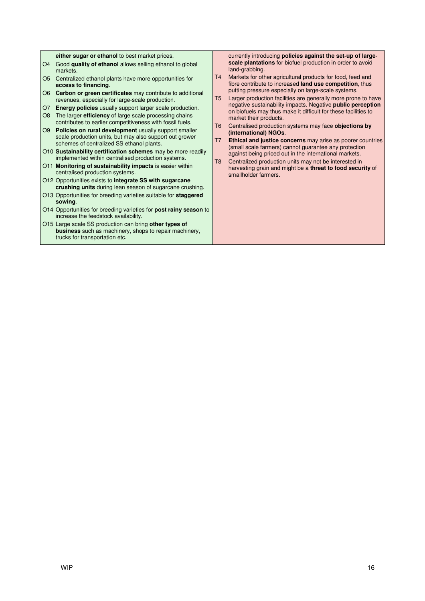**either sugar or ethanol** to best market prices. O4 Good **quality of ethanol** allows selling ethanol to global markets. O5 Centralized ethanol plants have more opportunities for **access to financing**. O6 **Carbon or green certificates** may contribute to additional revenues, especially for large-scale production. O7 **Energy policies** usually support larger scale production. O8 The larger **efficiency** of large scale processing chains contributes to earlier competitiveness with fossil fuels. O9 **Policies on rural development** usually support smaller scale production units, but may also support out grower schemes of centralized SS ethanol plants. O10 **Sustainability certification schemes** may be more readily implemented within centralised production systems. O11 **Monitoring of sustainability impacts** is easier within centralised production systems. O12 Opportunities exists to **integrate SS with sugarcane crushing units** during lean season of sugarcane crushing. O13 Opportunities for breeding varieties suitable for **staggered sowing**. O14 Opportunities for breeding varieties for **post rainy season** to increase the feedstock availability. O15 Large scale SS production can bring **other types of business** such as machinery, shops to repair machinery, trucks for transportation etc. currently introducing **policies against the set-up of largescale plantations** for biofuel production in order to avoid land-grabbing. T4 Markets for other agricultural products for food, feed and fibre contribute to increased **land use competition**, thus putting pressure especially on large-scale systems. T5 Larger production facilities are generally more prone to have negative sustainability impacts. Negative **public perception** on biofuels may thus make it difficult for these facilities to market their products. T6 Centralised production systems may face **objections by (international) NGOs**. T7 **Ethical and justice concerns** may arise as poorer countries (small scale farmers) cannot guarantee any protection against being priced out in the international markets. T8 Centralized production units may not be interested in harvesting grain and might be a **threat to food security** of smallholder farmers.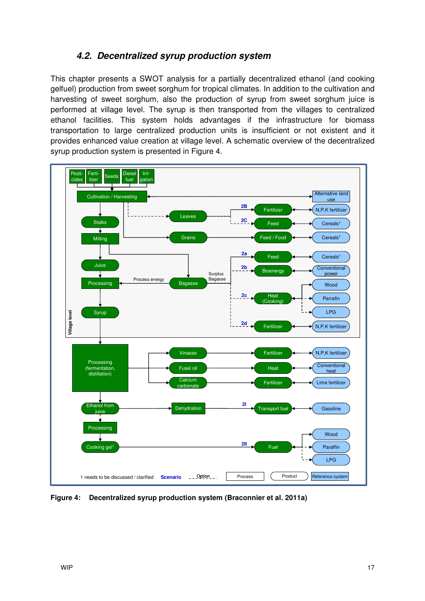### **4.2. Decentralized syrup production system**

This chapter presents a SWOT analysis for a partially decentralized ethanol (and cooking gelfuel) production from sweet sorghum for tropical climates. In addition to the cultivation and harvesting of sweet sorghum, also the production of syrup from sweet sorghum juice is performed at village level. The syrup is then transported from the villages to centralized ethanol facilities. This system holds advantages if the infrastructure for biomass transportation to large centralized production units is insufficient or not existent and it provides enhanced value creation at village level. A schematic overview of the decentralized syrup production system is presented in Figure 4.



**Figure 4: Decentralized syrup production system (Braconnier et al. 2011a)**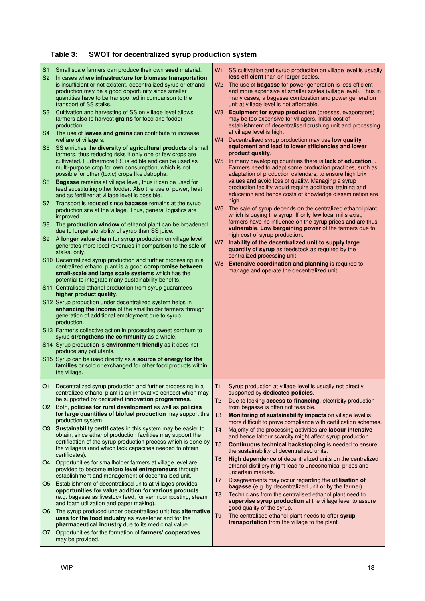### **Table 3: SWOT for decentralized syrup production system**

| S <sub>1</sub><br>S <sub>2</sub><br>S3<br>S <sub>4</sub><br>S5<br>S6<br>S7<br>S <sub>8</sub><br>S9 | Small scale farmers can produce their own seed material.<br>In cases where infrastructure for biomass transportation<br>is insufficient or not existent, decentralized syrup or ethanol<br>production may be a good opportunity since smaller<br>quantities have to be transported in comparison to the<br>transport of SS stalks.<br>Cultivation and harvesting of SS on village level allows<br>farmers also to harvest grains for food and fodder<br>production.<br>The use of leaves and grains can contribute to increase<br>welfare of villagers.<br>SS enriches the diversity of agricultural products of small<br>farmers, thus reducing risks if only one or few crops are<br>cultivated. Furthermore SS is edible and can be used as<br>multi-purpose crop for own consumption, which is not<br>possible for other (toxic) crops like Jatropha.<br><b>Bagasse</b> remains at village level, thus it can be used for<br>feed substituting other fodder. Also the use of power, heat<br>and as fertilizer at village level is possible.<br>Transport is reduced since <b>bagasse</b> remains at the syrup<br>production site at the village. Thus, general logistics are<br>improved.<br>The production window of ethanol plant can be broadened<br>due to longer storability of syrup than SS juice.<br>A longer value chain for syrup production on village level<br>generates more local revenues in comparison to the sale of<br>stalks, only.<br>S10 Decentralized syrup production and further processing in a<br>centralized ethanol plant is a good compromise between<br>small-scale and large scale systems which has the<br>potential to integrate many sustainability benefits.<br>S11 Centralised ethanol production from syrup guarantees<br>higher product quality.<br>S12 Syrup production under decentralized system helps in<br>enhancing the income of the smallholder farmers through<br>generation of additional employment due to syrup<br>production.<br>S13 Farmer's collective action in processing sweet sorghum to<br>syrup strengthens the community as a whole.<br>S14 Syrup production is environment friendly as it does not<br>produce any pollutants.<br>S15 Syrup can be used directly as a source of energy for the<br>families or sold or exchanged for other food products within | W <sub>3</sub><br>W4<br>W <sub>5</sub><br>W7 | W1 SS cultivation and syrup production on village level is usually<br>less efficient than on larger scales.<br>W2 The use of <b>bagasse</b> for power generation is less efficient<br>and more expensive at smaller scales (village level). Thus in<br>many cases, a bagasse combustion and power generation<br>unit at village level is not affordable.<br><b>Equipment for syrup production</b> (presses, evaporators)<br>may be too expensive for villagers. Initial cost of<br>establishment of decentralised crushing unit and processing<br>at village level is high.<br>Decentralised syrup production may use low quality<br>equipment and lead to lower efficiencies and lower<br>product quality.<br>In many developing countries there is lack of education<br>Farmers need to adapt some production practices, such as<br>adaptation of production calendars, to ensure high brix<br>values and avoid loss of quality. Managing a syrup<br>production facility would require additional training and<br>education and hence costs of knowledge dissemination are<br>high.<br>W6 The sale of syrup depends on the centralized ethanol plant<br>which is buying the syrup. If only few local mills exist,<br>farmers have no influence on the syrup prices and are thus<br>vulnerable. Low bargaining power of the farmers due to<br>high cost of syrup production.<br>Inability of the decentralized unit to supply large<br>quantity of syrup as feedstock as required by the<br>centralized processing unit.<br>W8 Extensive coordination and planning is required to<br>manage and operate the decentralized unit. |
|----------------------------------------------------------------------------------------------------|--------------------------------------------------------------------------------------------------------------------------------------------------------------------------------------------------------------------------------------------------------------------------------------------------------------------------------------------------------------------------------------------------------------------------------------------------------------------------------------------------------------------------------------------------------------------------------------------------------------------------------------------------------------------------------------------------------------------------------------------------------------------------------------------------------------------------------------------------------------------------------------------------------------------------------------------------------------------------------------------------------------------------------------------------------------------------------------------------------------------------------------------------------------------------------------------------------------------------------------------------------------------------------------------------------------------------------------------------------------------------------------------------------------------------------------------------------------------------------------------------------------------------------------------------------------------------------------------------------------------------------------------------------------------------------------------------------------------------------------------------------------------------------------------------------------------------------------------------------------------------------------------------------------------------------------------------------------------------------------------------------------------------------------------------------------------------------------------------------------------------------------------------------------------------------------------------------------------------------------------------------------------------------------------------------------------------------|----------------------------------------------|----------------------------------------------------------------------------------------------------------------------------------------------------------------------------------------------------------------------------------------------------------------------------------------------------------------------------------------------------------------------------------------------------------------------------------------------------------------------------------------------------------------------------------------------------------------------------------------------------------------------------------------------------------------------------------------------------------------------------------------------------------------------------------------------------------------------------------------------------------------------------------------------------------------------------------------------------------------------------------------------------------------------------------------------------------------------------------------------------------------------------------------------------------------------------------------------------------------------------------------------------------------------------------------------------------------------------------------------------------------------------------------------------------------------------------------------------------------------------------------------------------------------------------------------------------------------------------------------------------------------------------|
|                                                                                                    | the village.<br>O1 Decentralized syrup production and further processing in a                                                                                                                                                                                                                                                                                                                                                                                                                                                                                                                                                                                                                                                                                                                                                                                                                                                                                                                                                                                                                                                                                                                                                                                                                                                                                                                                                                                                                                                                                                                                                                                                                                                                                                                                                                                                                                                                                                                                                                                                                                                                                                                                                                                                                                                  | T <sub>1</sub>                               | Syrup production at village level is usually not directly                                                                                                                                                                                                                                                                                                                                                                                                                                                                                                                                                                                                                                                                                                                                                                                                                                                                                                                                                                                                                                                                                                                                                                                                                                                                                                                                                                                                                                                                                                                                                                        |
|                                                                                                    | centralized ethanol plant is an innovative concept which may<br>be supported by dedicated innovation programmes.                                                                                                                                                                                                                                                                                                                                                                                                                                                                                                                                                                                                                                                                                                                                                                                                                                                                                                                                                                                                                                                                                                                                                                                                                                                                                                                                                                                                                                                                                                                                                                                                                                                                                                                                                                                                                                                                                                                                                                                                                                                                                                                                                                                                               | T <sub>2</sub>                               | supported by dedicated policies.<br>Due to lacking <b>access to financing</b> , electricity production                                                                                                                                                                                                                                                                                                                                                                                                                                                                                                                                                                                                                                                                                                                                                                                                                                                                                                                                                                                                                                                                                                                                                                                                                                                                                                                                                                                                                                                                                                                           |
| O <sub>2</sub>                                                                                     | Both, policies for rural development as well as policies<br>for large quantities of biofuel production may support this<br>production system.                                                                                                                                                                                                                                                                                                                                                                                                                                                                                                                                                                                                                                                                                                                                                                                                                                                                                                                                                                                                                                                                                                                                                                                                                                                                                                                                                                                                                                                                                                                                                                                                                                                                                                                                                                                                                                                                                                                                                                                                                                                                                                                                                                                  | T <sub>3</sub>                               | from bagasse is often not feasible.<br>Monitoring of sustainability impacts on village level is<br>more difficult to prove compliance with certification schemes.                                                                                                                                                                                                                                                                                                                                                                                                                                                                                                                                                                                                                                                                                                                                                                                                                                                                                                                                                                                                                                                                                                                                                                                                                                                                                                                                                                                                                                                                |
|                                                                                                    | O3 Sustainability certificates in this system may be easier to<br>obtain, since ethanol production facilities may support the<br>certification of the syrup production process which is done by<br>the villagers (and which lack capacities needed to obtain<br>certificates).                                                                                                                                                                                                                                                                                                                                                                                                                                                                                                                                                                                                                                                                                                                                                                                                                                                                                                                                                                                                                                                                                                                                                                                                                                                                                                                                                                                                                                                                                                                                                                                                                                                                                                                                                                                                                                                                                                                                                                                                                                                 | T <sub>4</sub><br>T <sub>5</sub>             | Majority of the processing activities are labour intensive<br>and hence labour scarcity might affect syrup production.<br>Continuous technical backstopping is needed to ensure<br>the sustainability of decentralized units.                                                                                                                                                                                                                                                                                                                                                                                                                                                                                                                                                                                                                                                                                                                                                                                                                                                                                                                                                                                                                                                                                                                                                                                                                                                                                                                                                                                                    |
| O4                                                                                                 | Opportunities for smallholder farmers at village level are<br>provided to become micro level entrepreneurs through<br>establishment and management of decentralised unit.                                                                                                                                                                                                                                                                                                                                                                                                                                                                                                                                                                                                                                                                                                                                                                                                                                                                                                                                                                                                                                                                                                                                                                                                                                                                                                                                                                                                                                                                                                                                                                                                                                                                                                                                                                                                                                                                                                                                                                                                                                                                                                                                                      | T6                                           | High dependence of decentralized units on the centralized<br>ethanol distillery might lead to uneconomical prices and<br>uncertain markets.                                                                                                                                                                                                                                                                                                                                                                                                                                                                                                                                                                                                                                                                                                                                                                                                                                                                                                                                                                                                                                                                                                                                                                                                                                                                                                                                                                                                                                                                                      |
| O5                                                                                                 | Establishment of decentralised units at villages provides<br>opportunities for value addition for various products<br>(e.g. bagasse as livestock feed, for vermicomposting, steam                                                                                                                                                                                                                                                                                                                                                                                                                                                                                                                                                                                                                                                                                                                                                                                                                                                                                                                                                                                                                                                                                                                                                                                                                                                                                                                                                                                                                                                                                                                                                                                                                                                                                                                                                                                                                                                                                                                                                                                                                                                                                                                                              | T7<br>T <sub>8</sub>                         | Disagreements may occur regarding the <b>utilisation of</b><br><b>bagasse</b> (e.g. by decentralized unit or by the farmer).<br>Technicians from the centralised ethanol plant need to                                                                                                                                                                                                                                                                                                                                                                                                                                                                                                                                                                                                                                                                                                                                                                                                                                                                                                                                                                                                                                                                                                                                                                                                                                                                                                                                                                                                                                           |
|                                                                                                    | and foam utilization and paper making).<br>O6 The syrup produced under decentralised unit has alternative                                                                                                                                                                                                                                                                                                                                                                                                                                                                                                                                                                                                                                                                                                                                                                                                                                                                                                                                                                                                                                                                                                                                                                                                                                                                                                                                                                                                                                                                                                                                                                                                                                                                                                                                                                                                                                                                                                                                                                                                                                                                                                                                                                                                                      | T <sub>9</sub>                               | supervise syrup production at the village level to assure<br>good quality of the syrup.<br>The centralised ethanol plant needs to offer syrup                                                                                                                                                                                                                                                                                                                                                                                                                                                                                                                                                                                                                                                                                                                                                                                                                                                                                                                                                                                                                                                                                                                                                                                                                                                                                                                                                                                                                                                                                    |
| O7                                                                                                 | uses for the food industry as sweetener and for the<br>pharmaceutical industry due to its medicinal value.<br>Opportunities for the formation of farmers' cooperatives                                                                                                                                                                                                                                                                                                                                                                                                                                                                                                                                                                                                                                                                                                                                                                                                                                                                                                                                                                                                                                                                                                                                                                                                                                                                                                                                                                                                                                                                                                                                                                                                                                                                                                                                                                                                                                                                                                                                                                                                                                                                                                                                                         |                                              | transportation from the village to the plant.                                                                                                                                                                                                                                                                                                                                                                                                                                                                                                                                                                                                                                                                                                                                                                                                                                                                                                                                                                                                                                                                                                                                                                                                                                                                                                                                                                                                                                                                                                                                                                                    |
|                                                                                                    | may be provided.                                                                                                                                                                                                                                                                                                                                                                                                                                                                                                                                                                                                                                                                                                                                                                                                                                                                                                                                                                                                                                                                                                                                                                                                                                                                                                                                                                                                                                                                                                                                                                                                                                                                                                                                                                                                                                                                                                                                                                                                                                                                                                                                                                                                                                                                                                               |                                              |                                                                                                                                                                                                                                                                                                                                                                                                                                                                                                                                                                                                                                                                                                                                                                                                                                                                                                                                                                                                                                                                                                                                                                                                                                                                                                                                                                                                                                                                                                                                                                                                                                  |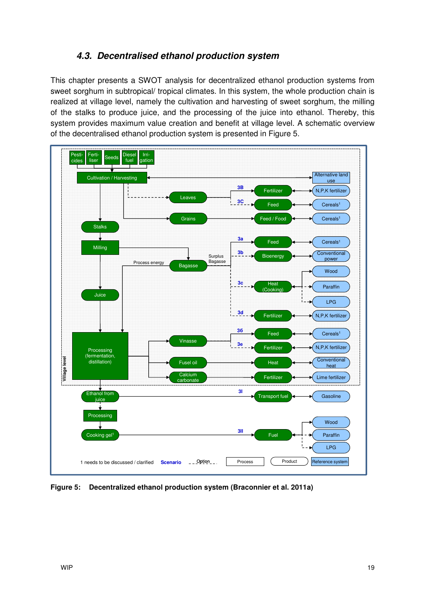### **4.3. Decentralised ethanol production system**

This chapter presents a SWOT analysis for decentralized ethanol production systems from sweet sorghum in subtropical/ tropical climates. In this system, the whole production chain is realized at village level, namely the cultivation and harvesting of sweet sorghum, the milling of the stalks to produce juice, and the processing of the juice into ethanol. Thereby, this system provides maximum value creation and benefit at village level. A schematic overview of the decentralised ethanol production system is presented in Figure 5.



**Figure 5: Decentralized ethanol production system (Braconnier et al. 2011a)**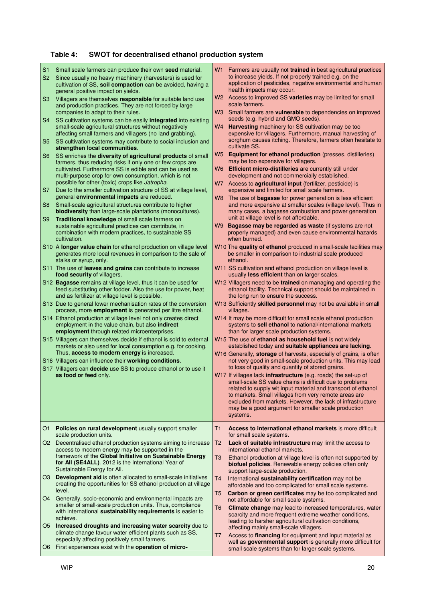### **Table 4: SWOT for decentralised ethanol production system**

| S <sub>1</sub> | Small scale farmers can produce their own seed material.                                                                                                                                | W1       | Farmers are usually not <b>trained</b> in best agricultural practices                                                                                                                                                                                                                                                                                                                 |
|----------------|-----------------------------------------------------------------------------------------------------------------------------------------------------------------------------------------|----------|---------------------------------------------------------------------------------------------------------------------------------------------------------------------------------------------------------------------------------------------------------------------------------------------------------------------------------------------------------------------------------------|
| S <sub>2</sub> | Since usually no heavy machinery (harvesters) is used for<br>cultivation of SS, soil compaction can be avoided, having a<br>general positive impact on yields.                          |          | to increase yields. If not properly trained e.g. on the<br>application of pesticides, negative environmental and human<br>health impacts may occur.                                                                                                                                                                                                                                   |
| S <sub>3</sub> | Villagers are themselves responsible for suitable land use<br>and production practices. They are not forced by large<br>companies to adapt to their rules.                              |          | W2 Access to improved SS varieties may be limited for small<br>scale farmers.<br>W3 Small farmers are vulnerable to dependencies on improved                                                                                                                                                                                                                                          |
| S4             | SS cultivation systems can be easily integrated into existing<br>small-scale agricultural structures without negatively<br>affecting small farmers and villagers (no land grabbing).    | W4       | seeds (e.g. hybrid and GMO seeds).<br><b>Harvesting</b> machinery for SS cultivation may be too<br>expensive for villagers. Furthermore, manual harvesting of                                                                                                                                                                                                                         |
| S <sub>5</sub> | SS cultivation systems may contribute to social inclusion and<br>strengthen local communities.                                                                                          |          | sorghum causes itching. Therefore, farmers often hesitate to<br>cultivate SS.                                                                                                                                                                                                                                                                                                         |
| S <sub>6</sub> | SS enriches the diversity of agricultural products of small<br>farmers, thus reducing risks if only one or few crops are                                                                | W5       | <b>Equipment for ethanol production</b> (presses, distilleries)<br>may be too expensive for villagers.                                                                                                                                                                                                                                                                                |
|                | cultivated. Furthermore SS is edible and can be used as<br>multi-purpose crop for own consumption, which is not                                                                         | W6.      | <b>Efficient micro-distilleries</b> are currently still under<br>development and not commercially established.                                                                                                                                                                                                                                                                        |
| S7             | possible for other (toxic) crops like Jatropha.<br>Due to the smaller cultivation structure of SS at village level,                                                                     |          | W7 Access to agricultural input (fertilizer, pesticide) is<br>expensive and limited for small scale farmers.                                                                                                                                                                                                                                                                          |
| S <sub>8</sub> | general environmental impacts are reduced.<br>Small-scale agricultural structures contribute to higher                                                                                  | W8       | The use of <b>bagasse</b> for power generation is less efficient<br>and more expensive at smaller scales (village level). Thus in                                                                                                                                                                                                                                                     |
| S <sub>9</sub> | <b>biodiversity</b> than large-scale plantations (monocultures).<br>Traditional knowledge of small scale farmers on                                                                     |          | many cases, a bagasse combustion and power generation<br>unit at village level is not affordable.                                                                                                                                                                                                                                                                                     |
|                | sustainable agricultural practices can contribute, in<br>combination with modern practices, to sustainable SS<br>cultivation.                                                           | W9.      | Bagasse may be regarded as waste (if systems are not<br>properly managed) and even cause environmental hazards<br>when burned.                                                                                                                                                                                                                                                        |
|                | S10 A longer value chain for ethanol production on village level<br>generates more local revenues in comparison to the sale of<br>stalks or syrup, only.                                |          | W10 The quality of ethanol produced in small-scale facilities may<br>be smaller in comparison to industrial scale produced<br>ethanol.                                                                                                                                                                                                                                                |
|                | S11 The use of leaves and grains can contribute to increase<br>food security of villagers.                                                                                              |          | W11 SS cultivation and ethanol production on village level is<br>usually <b>less efficient</b> than on larger scales.                                                                                                                                                                                                                                                                 |
|                | S12 <b>Bagasse</b> remains at village level, thus it can be used for<br>feed substituting other fodder. Also the use for power, heat<br>and as fertilizer at village level is possible. |          | W12 Villagers need to be trained on managing and operating the<br>ethanol facility. Technical support should be maintained in<br>the long run to ensure the success.                                                                                                                                                                                                                  |
|                | S13 Due to general lower mechanisation rates of the conversion<br>process, more <b>employment</b> is generated per litre ethanol.                                                       |          | W13 Sufficiently skilled personnel may not be available in small<br>villages.                                                                                                                                                                                                                                                                                                         |
|                | S14 Ethanol production at village level not only creates direct<br>employment in the value chain, but also indirect<br>employment through related microenterprises.                     |          | W14 It may be more difficult for small scale ethanol production<br>systems to sell ethanol to national/international markets<br>than for larger scale production systems.                                                                                                                                                                                                             |
|                | S15 Villagers can themselves decide if ethanol is sold to external<br>markets or also used for local consumption e.g. for cooking.<br>Thus, access to modern energy is increased.       |          | W15 The use of ethanol as household fuel is not widely<br>established today and suitable appliances are lacking.<br>W16 Generally, storage of harvests, especially of grains, is often                                                                                                                                                                                                |
|                | S16 Villagers can influence their working conditions.<br>S17 Villagers can decide use SS to produce ethanol or to use it                                                                |          | not very good in small-scale production units. This may lead<br>to loss of quality and quantity of stored grains.                                                                                                                                                                                                                                                                     |
|                | as food or feed only.                                                                                                                                                                   |          | W17 If villages lack infrastructure (e.g. roads) the set-up of<br>small-scale SS value chains is difficult due to problems<br>related to supply wit input material and transport of ethanol<br>to markets. Small villages from very remote areas are<br>excluded from markets. However, the lack of infrastructure<br>may be a good argument for smaller scale production<br>systems. |
| O1.            | Policies on rural development usually support smaller<br>scale production units.                                                                                                        | Τ1       | Access to international ethanol markets is more difficult<br>for small scale systems.                                                                                                                                                                                                                                                                                                 |
|                | O2 Decentralised ethanol production systems aiming to increase<br>access to modern energy may be supported in the<br>framework of the Global Initiative on Sustainable Energy           | T2<br>T3 | Lack of suitable infrastructure may limit the access to<br>international ethanol markets.<br>Ethanol production at village level is often not supported by                                                                                                                                                                                                                            |
|                | for All (SE4ALL). 2012 is the International Year of<br>Sustainable Energy for All.                                                                                                      |          | biofuel policies. Renewable energy policies often only<br>support large-scale production.                                                                                                                                                                                                                                                                                             |
| O3.            | Development aid is often allocated to small-scale initiatives<br>creating the opportunities for SS ethanol production at village<br>level.                                              | T4<br>T5 | International sustainability certification may not be<br>affordable and too complicated for small scale systems.<br>Carbon or green certificates may be too complicated and                                                                                                                                                                                                           |
| O4             | Generally, socio-economic and environmental impacts are<br>smaller of small-scale production units. Thus, compliance<br>with international sustainability requirements is easier to     | T6       | not affordable for small scale systems.<br>Climate change may lead to increased temperatures, water<br>scarcity and more frequent extreme weather conditions,                                                                                                                                                                                                                         |
| O5             | achieve.<br>Increased droughts and increasing water scarcity due to<br>climate change favour water efficient plants such as SS,                                                         | T7       | leading to harsher agricultural cultivation conditions,<br>affecting mainly small-scale villagers.<br>Access to <b>financing</b> for equipment and input material as                                                                                                                                                                                                                  |
| O6             | especially affecting positively small farmers.<br>First experiences exist with the operation of micro-                                                                                  |          | well as governmental support is generally more difficult for<br>small scale systems than for larger scale systems.                                                                                                                                                                                                                                                                    |

 $\mathbf I$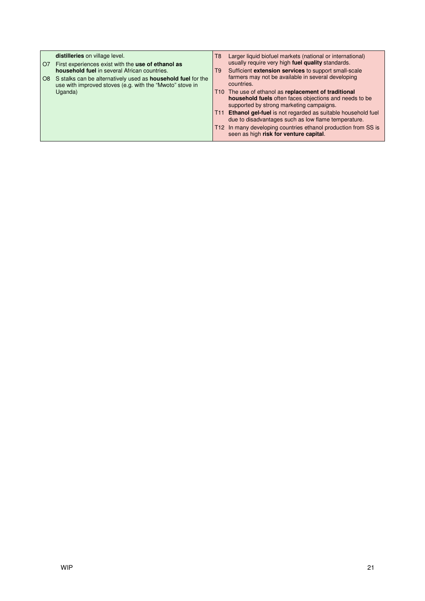| O <sub>7</sub> | distilleries on village level.<br>First experiences exist with the use of ethanol as<br><b>household fuel</b> in several African countries. | T8<br>T9 | Larger liquid biofuel markets (national or international)<br>usually require very high fuel quality standards.<br>Sufficient extension services to support small-scale |
|----------------|---------------------------------------------------------------------------------------------------------------------------------------------|----------|------------------------------------------------------------------------------------------------------------------------------------------------------------------------|
| O8             | S stalks can be alternatively used as <b>household fuel</b> for the<br>use with improved stoves (e.g. with the "Mwoto" stove in             |          | farmers may not be available in several developing<br>countries.                                                                                                       |
|                | Uganda)                                                                                                                                     |          | T10 The use of ethanol as replacement of traditional<br>household fuels often faces objections and needs to be<br>supported by strong marketing campaigns.             |
|                |                                                                                                                                             |          | T11 Ethanol gel-fuel is not regarded as suitable household fuel<br>due to disadvantages such as low flame temperature.                                                 |
|                |                                                                                                                                             |          | T12 In many developing countries ethanol production from SS is<br>seen as high risk for venture capital.                                                               |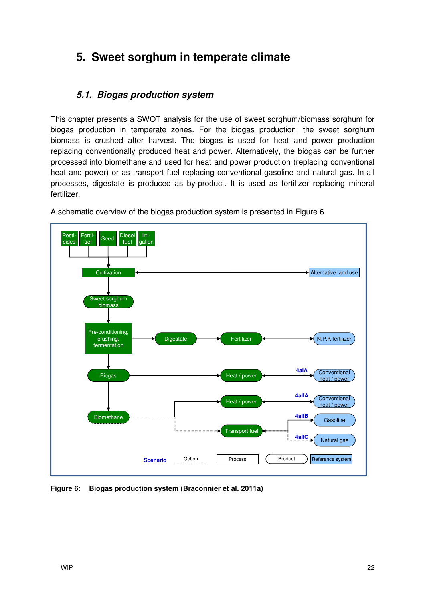## **5. Sweet sorghum in temperate climate**

### **5.1. Biogas production system**

This chapter presents a SWOT analysis for the use of sweet sorghum/biomass sorghum for biogas production in temperate zones. For the biogas production, the sweet sorghum biomass is crushed after harvest. The biogas is used for heat and power production replacing conventionally produced heat and power. Alternatively, the biogas can be further processed into biomethane and used for heat and power production (replacing conventional heat and power) or as transport fuel replacing conventional gasoline and natural gas. In all processes, digestate is produced as by-product. It is used as fertilizer replacing mineral fertilizer.



A schematic overview of the biogas production system is presented in Figure 6.

**Figure 6: Biogas production system (Braconnier et al. 2011a)**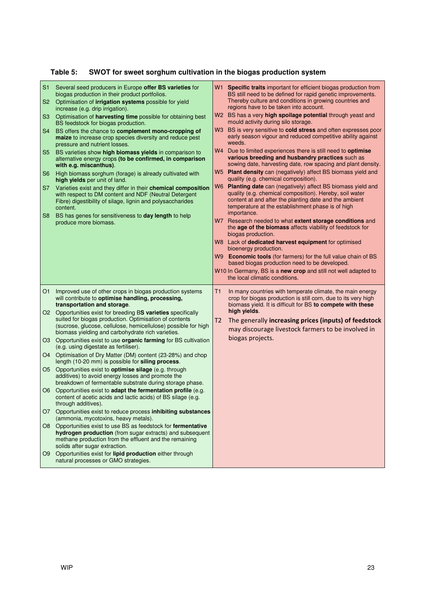### **Table 5: SWOT for sweet sorghum cultivation in the biogas production system**

| S <sub>1</sub><br>S <sub>2</sub><br>S <sub>3</sub><br>S <sub>4</sub><br>S <sub>5</sub><br>S <sub>6</sub><br><b>S7</b><br>S8 | Several seed producers in Europe offer BS varieties for<br>biogas production in their product portfolios.<br>Optimisation of irrigation systems possible for yield<br>increase (e.g. drip irrigation).<br>Optimisation of harvesting time possible for obtaining best<br>BS feedstock for biogas production.<br>BS offers the chance to complement mono-cropping of<br>maize to increase crop species diversity and reduce pest<br>pressure and nutrient losses.<br>BS varieties show high biomass yields in comparison to<br>alternative energy crops (to be confirmed, in comparison<br>with e.g. miscanthus).<br>High biomass sorghum (forage) is already cultivated with<br>high yields per unit of land.<br>Varieties exist and they differ in their chemical composition<br>with respect to DM content and NDF (Neutral Detergent<br>Fibre) digestibility of silage, lignin and polysaccharides<br>content.<br>BS has genes for sensitiveness to day length to help<br>produce more biomass. | W1 Specific traits important for efficient biogas production from<br>BS still need to be defined for rapid genetic improvements.<br>Thereby culture and conditions in growing countries and<br>regions have to be taken into account.<br>BS has a very high spoilage potential through yeast and<br>W2<br>mould activity during silo storage.<br>BS is very sensitive to cold stress and often expresses poor<br>W <sub>3</sub><br>early season vigour and reduced competitive ability against<br>weeds.<br>W4 Due to limited experiences there is still need to optimise<br>various breeding and husbandry practices such as<br>sowing date, harvesting date, row spacing and plant density.<br>W5 Plant density can (negatively) affect BS biomass yield and<br>quality (e.g. chemical composition).<br><b>Planting date</b> can (negatively) affect BS biomass yield and<br>W6<br>quality (e.g. chemical composition). Hereby, soil water<br>content at and after the planting date and the ambient<br>temperature at the establishment phase is of high<br>importance.<br>W7 Research needed to what extent storage conditions and<br>the age of the biomass affects viability of feedstock for<br>biogas production.<br>W8 Lack of dedicated harvest equipment for optimised<br>bioenergy production.<br><b>Economic tools</b> (for farmers) for the full value chain of BS<br>W9.<br>based biogas production need to be developed.<br>W10 In Germany, BS is a new crop and still not well adapted to |  |
|-----------------------------------------------------------------------------------------------------------------------------|----------------------------------------------------------------------------------------------------------------------------------------------------------------------------------------------------------------------------------------------------------------------------------------------------------------------------------------------------------------------------------------------------------------------------------------------------------------------------------------------------------------------------------------------------------------------------------------------------------------------------------------------------------------------------------------------------------------------------------------------------------------------------------------------------------------------------------------------------------------------------------------------------------------------------------------------------------------------------------------------------|------------------------------------------------------------------------------------------------------------------------------------------------------------------------------------------------------------------------------------------------------------------------------------------------------------------------------------------------------------------------------------------------------------------------------------------------------------------------------------------------------------------------------------------------------------------------------------------------------------------------------------------------------------------------------------------------------------------------------------------------------------------------------------------------------------------------------------------------------------------------------------------------------------------------------------------------------------------------------------------------------------------------------------------------------------------------------------------------------------------------------------------------------------------------------------------------------------------------------------------------------------------------------------------------------------------------------------------------------------------------------------------------------------------------------------------------------------------------------------------------------------|--|
| O <sub>1</sub>                                                                                                              | Improved use of other crops in biogas production systems                                                                                                                                                                                                                                                                                                                                                                                                                                                                                                                                                                                                                                                                                                                                                                                                                                                                                                                                           | the local climatic conditions.<br>Τ1<br>In many countries with temperate climate, the main energy                                                                                                                                                                                                                                                                                                                                                                                                                                                                                                                                                                                                                                                                                                                                                                                                                                                                                                                                                                                                                                                                                                                                                                                                                                                                                                                                                                                                          |  |
|                                                                                                                             | will contribute to optimise handling, processing,<br>transportation and storage.                                                                                                                                                                                                                                                                                                                                                                                                                                                                                                                                                                                                                                                                                                                                                                                                                                                                                                                   | crop for biogas production is still corn, due to its very high<br>biomass yield. It is difficult for BS to compete with these                                                                                                                                                                                                                                                                                                                                                                                                                                                                                                                                                                                                                                                                                                                                                                                                                                                                                                                                                                                                                                                                                                                                                                                                                                                                                                                                                                              |  |
|                                                                                                                             | O2 Opportunities exist for breeding BS varieties specifically<br>suited for biogas production. Optimisation of contents<br>(sucrose, glucose, cellulose, hemicellulose) possible for high<br>biomass yielding and carbohydrate rich varieties.                                                                                                                                                                                                                                                                                                                                                                                                                                                                                                                                                                                                                                                                                                                                                     | high yields.<br>The generally increasing prices (inputs) of feedstock<br>T2<br>may discourage livestock farmers to be involved in                                                                                                                                                                                                                                                                                                                                                                                                                                                                                                                                                                                                                                                                                                                                                                                                                                                                                                                                                                                                                                                                                                                                                                                                                                                                                                                                                                          |  |
| O <sub>3</sub>                                                                                                              | Opportunities exist to use organic farming for BS cultivation<br>(e.g. using digestate as fertiliser).                                                                                                                                                                                                                                                                                                                                                                                                                                                                                                                                                                                                                                                                                                                                                                                                                                                                                             | biogas projects.                                                                                                                                                                                                                                                                                                                                                                                                                                                                                                                                                                                                                                                                                                                                                                                                                                                                                                                                                                                                                                                                                                                                                                                                                                                                                                                                                                                                                                                                                           |  |
| O <sub>4</sub>                                                                                                              | Optimisation of Dry Matter (DM) content (23-28%) and chop<br>length (10-20 mm) is possible for siling process.                                                                                                                                                                                                                                                                                                                                                                                                                                                                                                                                                                                                                                                                                                                                                                                                                                                                                     |                                                                                                                                                                                                                                                                                                                                                                                                                                                                                                                                                                                                                                                                                                                                                                                                                                                                                                                                                                                                                                                                                                                                                                                                                                                                                                                                                                                                                                                                                                            |  |
|                                                                                                                             | O5 Opportunities exist to <b>optimise silage</b> (e.g. through<br>additives) to avoid energy losses and promote the<br>breakdown of fermentable substrate during storage phase.                                                                                                                                                                                                                                                                                                                                                                                                                                                                                                                                                                                                                                                                                                                                                                                                                    |                                                                                                                                                                                                                                                                                                                                                                                                                                                                                                                                                                                                                                                                                                                                                                                                                                                                                                                                                                                                                                                                                                                                                                                                                                                                                                                                                                                                                                                                                                            |  |
| O <sub>6</sub>                                                                                                              | Opportunities exist to adapt the fermentation profile (e.g.<br>content of acetic acids and lactic acids) of BS silage (e.g.<br>through additives).                                                                                                                                                                                                                                                                                                                                                                                                                                                                                                                                                                                                                                                                                                                                                                                                                                                 |                                                                                                                                                                                                                                                                                                                                                                                                                                                                                                                                                                                                                                                                                                                                                                                                                                                                                                                                                                                                                                                                                                                                                                                                                                                                                                                                                                                                                                                                                                            |  |
|                                                                                                                             | O7 Opportunities exist to reduce process inhibiting substances<br>(ammonia, mycotoxins, heavy metals).                                                                                                                                                                                                                                                                                                                                                                                                                                                                                                                                                                                                                                                                                                                                                                                                                                                                                             |                                                                                                                                                                                                                                                                                                                                                                                                                                                                                                                                                                                                                                                                                                                                                                                                                                                                                                                                                                                                                                                                                                                                                                                                                                                                                                                                                                                                                                                                                                            |  |
|                                                                                                                             | O8 Opportunities exist to use BS as feedstock for fermentative<br>hydrogen production (from sugar extracts) and subsequent<br>methane production from the effluent and the remaining<br>solids after sugar extraction.                                                                                                                                                                                                                                                                                                                                                                                                                                                                                                                                                                                                                                                                                                                                                                             |                                                                                                                                                                                                                                                                                                                                                                                                                                                                                                                                                                                                                                                                                                                                                                                                                                                                                                                                                                                                                                                                                                                                                                                                                                                                                                                                                                                                                                                                                                            |  |
| O9                                                                                                                          | Opportunities exist for lipid production either through<br>natural processes or GMO strategies.                                                                                                                                                                                                                                                                                                                                                                                                                                                                                                                                                                                                                                                                                                                                                                                                                                                                                                    |                                                                                                                                                                                                                                                                                                                                                                                                                                                                                                                                                                                                                                                                                                                                                                                                                                                                                                                                                                                                                                                                                                                                                                                                                                                                                                                                                                                                                                                                                                            |  |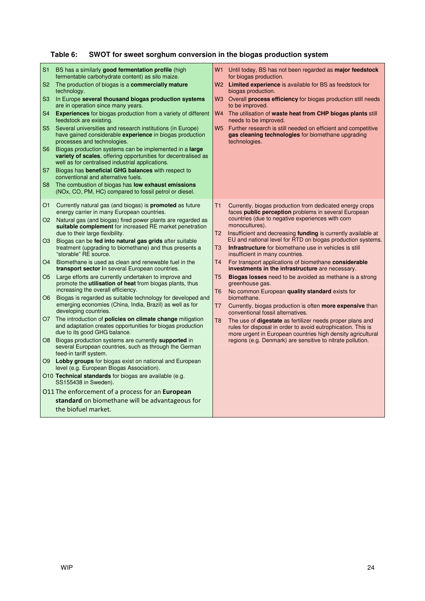## **Table 6: SWOT for sweet sorghum conversion in the biogas production system**

| S <sub>1</sub> | BS has a similarly good fermentation profile (high<br>fermentable carbohydrate content) as silo maize.                                                                        | W1                   | Until today, BS has not been regarded as major feedstock<br>for biogas production.                                                                                                              |
|----------------|-------------------------------------------------------------------------------------------------------------------------------------------------------------------------------|----------------------|-------------------------------------------------------------------------------------------------------------------------------------------------------------------------------------------------|
| S <sub>2</sub> | The production of biogas is a <b>commercially mature</b><br>technology.                                                                                                       |                      | W2 Limited experience is available for BS as feedstock for<br>biogas production.                                                                                                                |
| S <sub>3</sub> | In Europe several thousand biogas production systems<br>are in operation since many years.                                                                                    |                      | W3 Overall <b>process efficiency</b> for biogas production still needs<br>to be improved.                                                                                                       |
| S <sub>4</sub> | <b>Experiences</b> for biogas production from a variety of different<br>feedstock are existing.                                                                               | W4                   | The utilisation of waste heat from CHP biogas plants still<br>needs to be improved.                                                                                                             |
| S <sub>5</sub> | Several universities and research institutions (in Europe)<br>have gained considerable experience in biogas production<br>processes and technologies.                         | <b>W5</b>            | Further research is still needed on efficient and competitive<br>gas cleaning technologies for biomethane upgrading<br>technologies.                                                            |
| S <sub>6</sub> | Biogas production systems can be implemented in a large<br>variety of scales, offering opportunities for decentralised as<br>well as for centralised industrial applications. |                      |                                                                                                                                                                                                 |
| S7             | Biogas has <b>beneficial GHG balances</b> with respect to<br>conventional and alternative fuels.                                                                              |                      |                                                                                                                                                                                                 |
| S <sub>8</sub> | The combustion of biogas has <b>low exhaust emissions</b><br>(NO <sub>x</sub> , CO, PM, HC) compared to fossil petrol or diesel.                                              |                      |                                                                                                                                                                                                 |
| O1             | Currently natural gas (and biogas) is <b>promoted</b> as future<br>energy carrier in many European countries.                                                                 | T1                   | Currently, biogas production from dedicated energy crops<br>faces public perception problems in several European                                                                                |
| O <sub>2</sub> | Natural gas (and biogas) fired power plants are regarded as<br>suitable complement for increased RE market penetration<br>due to their large flexibility.                     | T2                   | countries (due to negative experiences with corn<br>monocultures).<br>Insufficient and decreasing funding is currently available at                                                             |
| O3             | Biogas can be fed into natural gas grids after suitable<br>treatment (upgrading to biomethane) and thus presents a<br>"storable" RE source.                                   | T3                   | EU and national level for RTD on biogas production systems.<br>Infrastructure for biomethane use in vehicles is still<br>insufficient in many countries.                                        |
| O <sub>4</sub> | Biomethane is used as clean and renewable fuel in the<br>transport sector in several European countries.                                                                      | T <sub>4</sub>       | For transport applications of biomethane considerable<br>investments in the infrastructure are necessary.                                                                                       |
| O5             | Large efforts are currently undertaken to improve and<br>promote the <b>utilisation of heat</b> from biogas plants, thus<br>increasing the overall efficiency.                | T <sub>5</sub><br>T6 | Biogas losses need to be avoided as methane is a strong<br>greenhouse gas.<br>No common European quality standard exists for                                                                    |
| O6             | Biogas is regarded as suitable technology for developed and<br>emerging economies (China, India, Brazil) as well as for<br>developing countries.                              | T7                   | biomethane.<br>Currently, biogas production is often <b>more expensive</b> than<br>conventional fossil alternatives.                                                                            |
| O7             | The introduction of <b>policies on climate change</b> mitigation<br>and adaptation creates opportunities for biogas production<br>due to its good GHG balance.                | T8                   | The use of <b>digestate</b> as fertilizer needs proper plans and<br>rules for disposal in order to avoid eutrophication. This is<br>more urgent in European countries high density agricultural |
| O8             | Biogas production systems are currently supported in<br>several European countries, such as through the German<br>feed-in tariff system.                                      |                      | regions (e.g. Denmark) are sensitive to nitrate pollution.                                                                                                                                      |
|                | O9 Lobby groups for biogas exist on national and European<br>level (e.g. European Biogas Association).                                                                        |                      |                                                                                                                                                                                                 |
|                | O10 Technical standards for biogas are available (e.g.<br>SS155438 in Sweden).                                                                                                |                      |                                                                                                                                                                                                 |
|                | 011 The enforcement of a process for an <b>European</b>                                                                                                                       |                      |                                                                                                                                                                                                 |
|                | standard on biomethane will be advantageous for                                                                                                                               |                      |                                                                                                                                                                                                 |
|                | the biofuel market.                                                                                                                                                           |                      |                                                                                                                                                                                                 |
|                |                                                                                                                                                                               |                      |                                                                                                                                                                                                 |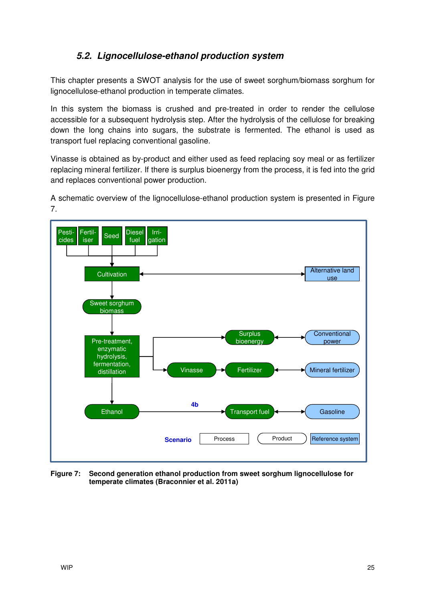### **5.2. Lignocellulose-ethanol production system**

This chapter presents a SWOT analysis for the use of sweet sorghum/biomass sorghum for lignocellulose-ethanol production in temperate climates.

In this system the biomass is crushed and pre-treated in order to render the cellulose accessible for a subsequent hydrolysis step. After the hydrolysis of the cellulose for breaking down the long chains into sugars, the substrate is fermented. The ethanol is used as transport fuel replacing conventional gasoline.

Vinasse is obtained as by-product and either used as feed replacing soy meal or as fertilizer replacing mineral fertilizer. If there is surplus bioenergy from the process, it is fed into the grid and replaces conventional power production.

A schematic overview of the lignocellulose-ethanol production system is presented in Figure 7.



**Figure 7: Second generation ethanol production from sweet sorghum lignocellulose for temperate climates (Braconnier et al. 2011a)**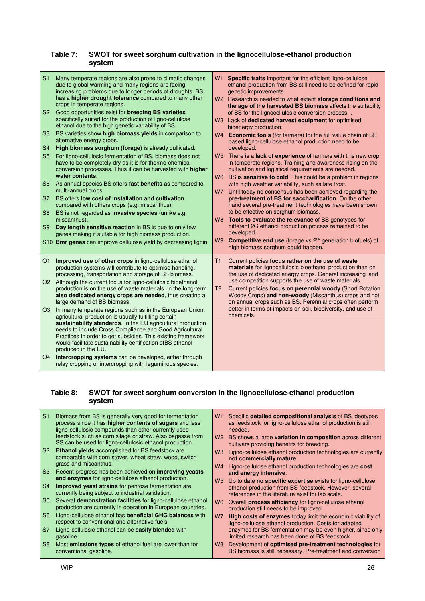#### **Table 7: SWOT for sweet sorghum cultivation in the lignocellulose-ethanol production system**

| S <sub>1</sub><br>S <sub>2</sub><br>S <sub>3</sub><br>S <sub>4</sub><br>S <sub>5</sub><br>S <sub>6</sub><br>S7<br>S <sub>8</sub><br>S <sub>9</sub> | Many temperate regions are also prone to climatic changes<br>due to global warming and many regions are facing<br>increasing problems due to longer periods of droughts. BS<br>has a higher drought tolerance compared to many other<br>crops in temperate regions.<br>Good opportunities exist for breeding BS varieties<br>specifically suited for the production of ligno-cellulose<br>ethanol due to the high genetic variability of BS.<br>BS varieties show high biomass vields in comparison to<br>alternative energy crops.<br>High biomass sorghum (forage) is already cultivated.<br>For ligno-cellulosic fermentation of BS, biomass does not<br>have to be completely dry as it is for thermo-chemical<br>conversion processes. Thus it can be harvested with higher<br>water contents.<br>As annual species BS offers fast benefits as compared to<br>multi-annual crops.<br>BS offers low cost of installation and cultivation<br>compared with others crops (e.g. miscanthus).<br>BS is not regarded as <b>invasive species</b> (unlike e.g.<br>miscanthus).<br>Day length sensitive reaction in BS is due to only few<br>genes making it suitable for high biomass production.<br>S10 Bmr genes can improve cellulose yield by decreasing lignin. | W1<br>developed.<br>W5<br>W7<br>developed.<br>W <sub>9</sub> | Specific traits important for the efficient ligno-cellulose<br>ethanol production from BS still need to be defined for rapid<br>genetic improvements.<br>W2 Research is needed to what extent storage conditions and<br>the age of the harvested BS biomass affects the suitability<br>of BS for the lignocellulosic conversion process<br>W3 Lack of dedicated harvest equipment for optimised<br>bioenergy production.<br>W4 Economic tools (for farmers) for the full value chain of BS<br>based ligno-cellulose ethanol production need to be<br>There is a <b>lack of experience</b> of farmers with this new crop<br>in temperate regions. Training and awareness rising on the<br>cultivation and logistical requirements are needed.<br>W6 BS is sensitive to cold. This could be a problem in regions<br>with high weather variability, such as late frost.<br>Until today no consensus has been achieved regarding the<br>pre-treatment of BS for saccharification. On the other<br>hand several pre-treatment technologies have been shown<br>to be effective on sorghum biomass.<br>W8 Tools to evaluate the relevance of BS genotypes for<br>different 2G ethanol production process remained to be<br><b>Competitive end use</b> (forage vs $2^{nd}$ generation biofuels) of<br>high biomass sorghum could happen. |
|----------------------------------------------------------------------------------------------------------------------------------------------------|-------------------------------------------------------------------------------------------------------------------------------------------------------------------------------------------------------------------------------------------------------------------------------------------------------------------------------------------------------------------------------------------------------------------------------------------------------------------------------------------------------------------------------------------------------------------------------------------------------------------------------------------------------------------------------------------------------------------------------------------------------------------------------------------------------------------------------------------------------------------------------------------------------------------------------------------------------------------------------------------------------------------------------------------------------------------------------------------------------------------------------------------------------------------------------------------------------------------------------------------------------------------|--------------------------------------------------------------|----------------------------------------------------------------------------------------------------------------------------------------------------------------------------------------------------------------------------------------------------------------------------------------------------------------------------------------------------------------------------------------------------------------------------------------------------------------------------------------------------------------------------------------------------------------------------------------------------------------------------------------------------------------------------------------------------------------------------------------------------------------------------------------------------------------------------------------------------------------------------------------------------------------------------------------------------------------------------------------------------------------------------------------------------------------------------------------------------------------------------------------------------------------------------------------------------------------------------------------------------------------------------------------------------------------------------------|
| O <sub>1</sub><br>O <sub>3</sub>                                                                                                                   | Improved use of other crops in ligno-cellulose ethanol<br>production systems will contribute to optimise handling,<br>processing, transportation and storage of BS biomass.<br>O2 Although the current focus for ligno-cellulosic bioethanol<br>production is on the use of waste materials, in the long-term<br>also dedicated energy crops are needed, thus creating a<br>large demand of BS biomass.<br>In many temperate regions such as in the European Union,<br>agricultural production is usually fulfilling certain<br>sustainability standards. In the EU agricultural production<br>needs to include Cross Compliance and Good Agricultural<br>Practices in order to get subsidies. This existing framework<br>would facilitate sustainability certification ofBS ethanol<br>produced in the EU.<br>O4 Intercropping systems can be developed, either through<br>relay cropping or intercropping with leguminous species.                                                                                                                                                                                                                                                                                                                              | T <sub>2</sub><br>chemicals.                                 | Current policies focus rather on the use of waste<br>materials for lignocellulosic bioethanol production than on<br>the use of dedicated energy crops. General increasing land<br>use competition supports the use of waste materials.<br>Current policies focus on perennial woody (Short Rotation<br>Woody Crops) and non-woody (Miscanthus) crops and not<br>on annual crops such as BS. Perennial crops often perform<br>better in terms of impacts on soil, biodiversity, and use of                                                                                                                                                                                                                                                                                                                                                                                                                                                                                                                                                                                                                                                                                                                                                                                                                                        |

#### **Table 8: SWOT for sweet sorghum conversion in the lignocellulose-ethanol production system**

| S1             | Biomass from BS is generally very good for fermentation<br>process since it has higher contents of sugars and less<br>ligno-cellulosic compounds than other currently used<br>feedstock such as corn silage or straw. Also bagasse from | W1<br>W2  | Specific detailed compositional analysis of BS ideotypes<br>as feedstock for ligno-cellulose ethanol production is still<br>needed.<br>BS shows a large <b>variation in composition</b> across different |
|----------------|-----------------------------------------------------------------------------------------------------------------------------------------------------------------------------------------------------------------------------------------|-----------|----------------------------------------------------------------------------------------------------------------------------------------------------------------------------------------------------------|
|                | SS can be used for ligno-cellulosic ethanol production.                                                                                                                                                                                 |           | cultivars providing benefits for breeding.                                                                                                                                                               |
| S <sub>2</sub> | <b>Ethanol yields</b> accomplished for BS feedstock are<br>comparable with corn stover, wheat straw, wood, switch                                                                                                                       | W3        | Ligno-cellulose ethanol production technologies are currently<br>not commercially mature.                                                                                                                |
| S <sub>3</sub> | grass and miscanthus.<br>Recent progress has been achieved on <b>improving yeasts</b>                                                                                                                                                   | W4        | Ligno-cellulose ethanol production technologies are cost                                                                                                                                                 |
|                | and enzymes for ligno-cellulose ethanol production.                                                                                                                                                                                     |           | and energy intensive.                                                                                                                                                                                    |
| S4             | <b>Improved yeast strains</b> for pentose fermentation are<br>currently being subject to industrial validation.                                                                                                                         | W5.       | Up to date <b>no specific expertise</b> exists for ligno-cellulose<br>ethanol production from BS feedstock. However, several<br>references in the literature exist for lab scale.                        |
| S <sub>5</sub> | Several demonstration facilities for ligno-cellulose ethanol<br>production are currently in operation in European countries.                                                                                                            | W6.       | Overall <b>process efficiency</b> for ligno-cellulose ethanol<br>production still needs to be improved.                                                                                                  |
| S <sub>6</sub> | Ligno-cellulose ethanol has beneficial GHG balances with<br>respect to conventional and alternative fuels.                                                                                                                              | <b>W7</b> | <b>High costs of enzymes</b> today limit the economic viability of<br>ligno-cellulose ethanol production. Costs for adapted                                                                              |
| S7             | Ligno-cellulosic ethanol can be easily blended with<br>gasoline.                                                                                                                                                                        |           | enzymes for BS fermentation may be even higher, since only<br>limited research has been done of BS feedstock.                                                                                            |
| S8             | Most emissions types of ethanol fuel are lower than for<br>conventional gasoline.                                                                                                                                                       | W8        | Development of optimised pre-treatment technologies for<br>BS biomass is still necessary. Pre-treatment and conversion                                                                                   |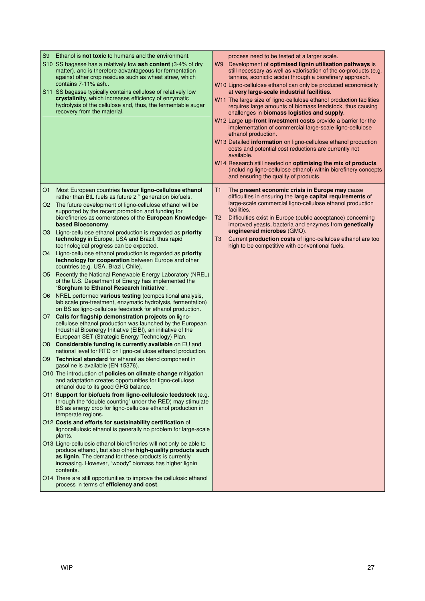| Ethanol is <b>not toxic</b> to humans and the environment.<br>S9<br>S10 SS bagasse has a relatively low ash content (3-4% of dry<br>matter), and is therefore advantageous for fermentation<br>against other crop residues such as wheat straw, which<br>contains 7-11% ash<br>S11 SS bagasse typically contains cellulose of relatively low<br>crystalinity, which increases efficiency of enzymatic<br>hydrolysis of the cellulose and, thus, the fermentable sugar<br>recovery from the material. | process need to be tested at a larger scale.<br>W9 Development of optimised lignin utilisation pathways is<br>still necessary as well as valorisation of the co-products (e.g.<br>tannins, aconictic acids) through a biorefinery approach.<br>W10 Ligno-cellulose ethanol can only be produced economically<br>at very large-scale industrial facilities.<br>W11 The large size of ligno-cellulose ethanol production facilities<br>requires large amounts of biomass feedstock, thus causing<br>challenges in biomass logistics and supply.<br>W12 Large up-front investment costs provide a barrier for the<br>implementation of commercial large-scale ligno-cellulose<br>ethanol production.<br>W13 Detailed information on ligno-cellulose ethanol production<br>costs and potential cost reductions are currently not<br>available.<br>W14 Research still needed on optimising the mix of products<br>(including ligno-cellulose ethanol) within biorefinery concepts<br>and ensuring the quality of products. |
|------------------------------------------------------------------------------------------------------------------------------------------------------------------------------------------------------------------------------------------------------------------------------------------------------------------------------------------------------------------------------------------------------------------------------------------------------------------------------------------------------|-----------------------------------------------------------------------------------------------------------------------------------------------------------------------------------------------------------------------------------------------------------------------------------------------------------------------------------------------------------------------------------------------------------------------------------------------------------------------------------------------------------------------------------------------------------------------------------------------------------------------------------------------------------------------------------------------------------------------------------------------------------------------------------------------------------------------------------------------------------------------------------------------------------------------------------------------------------------------------------------------------------------------|
| Most European countries favour ligno-cellulose ethanol<br>O1<br>rather than BtL fuels as future 2 <sup>nd</sup> generation biofuels.                                                                                                                                                                                                                                                                                                                                                                 | T1<br>The present economic crisis in Europe may cause<br>difficulties in ensuring the large capital requirements of                                                                                                                                                                                                                                                                                                                                                                                                                                                                                                                                                                                                                                                                                                                                                                                                                                                                                                   |
| O2 The future development of ligno-cellulose ethanol will be<br>supported by the recent promotion and funding for<br>biorefineries as cornerstones of the European Knowledge-<br>based Bioeconomy.                                                                                                                                                                                                                                                                                                   | large-scale commercial ligno-cellulose ethanol production<br>facilities.<br>Difficulties exist in Europe (public acceptance) concerning<br>T2<br>improved yeasts, bacteria and enzymes from genetically                                                                                                                                                                                                                                                                                                                                                                                                                                                                                                                                                                                                                                                                                                                                                                                                               |
| Ligno-cellulose ethanol production is regarded as priority<br>O3 I<br>technology in Europe, USA and Brazil, thus rapid<br>technological progress can be expected.                                                                                                                                                                                                                                                                                                                                    | engineered microbes (GMO).<br>Current production costs of ligno-cellulose ethanol are too<br>T3<br>high to be competitive with conventional fuels.                                                                                                                                                                                                                                                                                                                                                                                                                                                                                                                                                                                                                                                                                                                                                                                                                                                                    |
| Ligno-cellulose ethanol production is regarded as priority<br>O4 ·<br>technology for cooperation between Europe and other<br>countries (e.g. USA, Brazil, Chile).                                                                                                                                                                                                                                                                                                                                    |                                                                                                                                                                                                                                                                                                                                                                                                                                                                                                                                                                                                                                                                                                                                                                                                                                                                                                                                                                                                                       |
| Recently the National Renewable Energy Laboratory (NREL)<br>O5.<br>of the U.S. Department of Energy has implemented the<br>"Sorghum to Ethanol Research Initiative".                                                                                                                                                                                                                                                                                                                                 |                                                                                                                                                                                                                                                                                                                                                                                                                                                                                                                                                                                                                                                                                                                                                                                                                                                                                                                                                                                                                       |
| NREL performed various testing (compositional analysis,<br>O6.<br>lab scale pre-treatment, enzymatic hydrolysis, fermentation)<br>on BS as ligno-cellulose feedstock for ethanol production.                                                                                                                                                                                                                                                                                                         |                                                                                                                                                                                                                                                                                                                                                                                                                                                                                                                                                                                                                                                                                                                                                                                                                                                                                                                                                                                                                       |
| O7 Calls for flagship demonstration projects on ligno-<br>cellulose ethanol production was launched by the European<br>Industrial Bioenergy Initiative (EIBI), an initiative of the<br>European SET (Strategic Energy Technology) Plan.                                                                                                                                                                                                                                                              |                                                                                                                                                                                                                                                                                                                                                                                                                                                                                                                                                                                                                                                                                                                                                                                                                                                                                                                                                                                                                       |
| Considerable funding is currently available on EU and<br>O8 .<br>national level for RTD on ligno-cellulose ethanol production.                                                                                                                                                                                                                                                                                                                                                                       |                                                                                                                                                                                                                                                                                                                                                                                                                                                                                                                                                                                                                                                                                                                                                                                                                                                                                                                                                                                                                       |
| Technical standard for ethanol as blend component in<br>O9<br>gasoline is available (EN 15376).                                                                                                                                                                                                                                                                                                                                                                                                      |                                                                                                                                                                                                                                                                                                                                                                                                                                                                                                                                                                                                                                                                                                                                                                                                                                                                                                                                                                                                                       |
| O10 The introduction of <b>policies on climate change</b> mitigation<br>and adaptation creates opportunities for ligno-cellulose<br>ethanol due to its good GHG balance.                                                                                                                                                                                                                                                                                                                             |                                                                                                                                                                                                                                                                                                                                                                                                                                                                                                                                                                                                                                                                                                                                                                                                                                                                                                                                                                                                                       |
| O11 Support for biofuels from ligno-cellulosic feedstock (e.g.<br>through the "double counting" under the RED) may stimulate<br>BS as energy crop for ligno-cellulose ethanol production in<br>temperate regions.                                                                                                                                                                                                                                                                                    |                                                                                                                                                                                                                                                                                                                                                                                                                                                                                                                                                                                                                                                                                                                                                                                                                                                                                                                                                                                                                       |
| O12 Costs and efforts for sustainability certification of<br>lignocellulosic ethanol is generally no problem for large-scale<br>plants.                                                                                                                                                                                                                                                                                                                                                              |                                                                                                                                                                                                                                                                                                                                                                                                                                                                                                                                                                                                                                                                                                                                                                                                                                                                                                                                                                                                                       |
| O13 Ligno-cellulosic ethanol biorefineries will not only be able to<br>produce ethanol, but also other high-quality products such<br>as lignin. The demand for these products is currently<br>increasing. However, "woody" biomass has higher lignin<br>contents.                                                                                                                                                                                                                                    |                                                                                                                                                                                                                                                                                                                                                                                                                                                                                                                                                                                                                                                                                                                                                                                                                                                                                                                                                                                                                       |
| O14 There are still opportunities to improve the cellulosic ethanol<br>process in terms of efficiency and cost.                                                                                                                                                                                                                                                                                                                                                                                      |                                                                                                                                                                                                                                                                                                                                                                                                                                                                                                                                                                                                                                                                                                                                                                                                                                                                                                                                                                                                                       |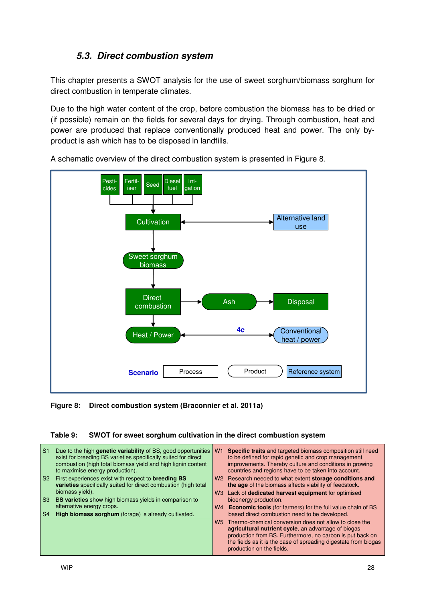### **5.3. Direct combustion system**

This chapter presents a SWOT analysis for the use of sweet sorghum/biomass sorghum for direct combustion in temperate climates.

Due to the high water content of the crop, before combustion the biomass has to be dried or (if possible) remain on the fields for several days for drying. Through combustion, heat and power are produced that replace conventionally produced heat and power. The only byproduct is ash which has to be disposed in landfills.



A schematic overview of the direct combustion system is presented in Figure 8.

**Figure 8: Direct combustion system (Braconnier et al. 2011a)** 

#### **Table 9: SWOT for sweet sorghum cultivation in the direct combustion system**

| -S1            | Due to the high genetic variability of BS, good opportunities<br>exist for breeding BS varieties specifically suited for direct<br>combustion (high total biomass yield and high lignin content<br>to maximise energy production). | W <sub>1</sub> | <b>Specific traits</b> and targeted biomass composition still need<br>to be defined for rapid genetic and crop management<br>improvements. Thereby culture and conditions in growing<br>countries and regions have to be taken into account. |
|----------------|------------------------------------------------------------------------------------------------------------------------------------------------------------------------------------------------------------------------------------|----------------|----------------------------------------------------------------------------------------------------------------------------------------------------------------------------------------------------------------------------------------------|
| S <sub>2</sub> | First experiences exist with respect to <b>breeding BS</b><br>varieties specifically suited for direct combustion (high total                                                                                                      |                | W <sub>2</sub> Research needed to what extent <b>storage conditions and</b><br>the age of the biomass affects viability of feedstock.                                                                                                        |
|                | biomass vield).                                                                                                                                                                                                                    |                | W3 Lack of dedicated harvest equipment for optimised                                                                                                                                                                                         |
| S3             | BS varieties show high biomass yields in comparison to                                                                                                                                                                             |                | bioenergy production.                                                                                                                                                                                                                        |
|                | alternative energy crops.                                                                                                                                                                                                          | W4             | <b>Economic tools</b> (for farmers) for the full value chain of BS                                                                                                                                                                           |
| S4             | High biomass sorghum (forage) is already cultivated.                                                                                                                                                                               |                | based direct combustion need to be developed.                                                                                                                                                                                                |
|                |                                                                                                                                                                                                                                    | W <sub>5</sub> | Thermo-chemical conversion does not allow to close the                                                                                                                                                                                       |
|                |                                                                                                                                                                                                                                    |                | agricultural nutrient cycle, an advantage of biogas                                                                                                                                                                                          |
|                |                                                                                                                                                                                                                                    |                | production from BS. Furthermore, no carbon is put back on                                                                                                                                                                                    |
|                |                                                                                                                                                                                                                                    |                | the fields as it is the case of spreading digestate from biogas<br>production on the fields.                                                                                                                                                 |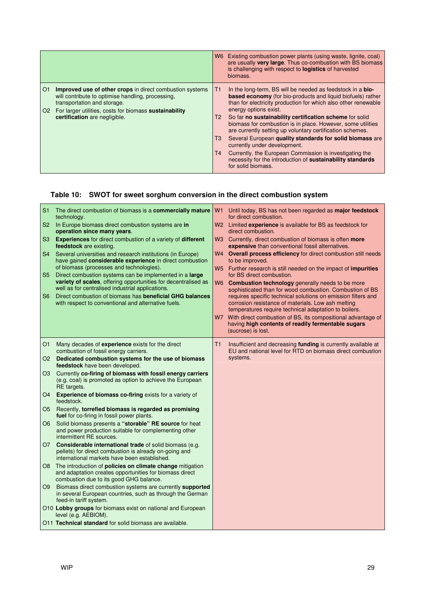|                                                                                                                                                                                                                                                                     | Existing combustion power plants (using waste, lignite, coal)<br>W6 l<br>are usually very large. Thus co-combustion with BS biomass<br>is challenging with respect to <b>logistics</b> of harvested<br>biomass.                                                                                                                                                                                                                                                                                                                                                                                                                                                                       |
|---------------------------------------------------------------------------------------------------------------------------------------------------------------------------------------------------------------------------------------------------------------------|---------------------------------------------------------------------------------------------------------------------------------------------------------------------------------------------------------------------------------------------------------------------------------------------------------------------------------------------------------------------------------------------------------------------------------------------------------------------------------------------------------------------------------------------------------------------------------------------------------------------------------------------------------------------------------------|
| <b>Improved use of other crops</b> in direct combustion systems<br>O <sub>1</sub><br>will contribute to optimise handling, processing,<br>transportation and storage.<br>O2 For larger utilities, costs for biomass sustainability<br>certification are negligible. | In the long-term, BS will be needed as feedstock in a <b>bio-</b><br>T1<br>based economy (for bio-products and liquid biofuels) rather<br>than for electricity production for which also other renewable<br>energy options exist.<br>So far no sustainability certification scheme for solid<br>Т2<br>biomass for combustion is in place. However, some utilities<br>are currently setting up voluntary certification schemes.<br>Several European quality standards for solid biomass are<br>T3<br>currently under development.<br>Currently, the European Commission is investigating the<br>T4<br>necessity for the introduction of sustainability standards<br>for solid biomass. |

#### **Table 10: SWOT for sweet sorghum conversion in the direct combustion system**

| S <sub>1</sub><br>S <sub>2</sub><br>S <sub>3</sub><br>S <sub>4</sub><br>S <sub>5</sub><br>S <sub>6</sub> | The direct combustion of biomass is a commercially mature<br>technology.<br>In Europe biomass direct combustion systems are in<br>operation since many years.<br>Experiences for direct combustion of a variety of different<br>feedstock are existing.<br>Several universities and research institutions (in Europe)<br>have gained considerable experience in direct combustion<br>of biomass (processes and technologies).<br>Direct combustion systems can be implemented in a <b>large</b><br>variety of scales, offering opportunities for decentralised as<br>well as for centralised industrial applications.<br>Direct combustion of biomass has beneficial GHG balances<br>with respect to conventional and alternative fuels. | W1 Until today, BS has not been regarded as <b>major feedstock</b><br>for direct combustion.<br>W2 Limited experience is available for BS as feedstock for<br>direct combustion.<br>W3 Currently, direct combustion of biomass is often more<br>expensive than conventional fossil alternatives.<br>W4 Overall process efficiency for direct combustion still needs<br>to be improved.<br>W5 Further research is still needed on the impact of impurities<br>for BS direct combustion.<br>W6 Combustion technology generally needs to be more<br>sophisticated than for wood combustion. Combustion of BS<br>requires specific technical solutions on emission filters and<br>corrosion resistance of materials. Low ash melting<br>temperatures require technical adaptation to boilers.<br>W7 With direct combustion of BS, its compositional advantage of<br>having high contents of readily fermentable sugars<br>(sucrose) is lost. |
|----------------------------------------------------------------------------------------------------------|------------------------------------------------------------------------------------------------------------------------------------------------------------------------------------------------------------------------------------------------------------------------------------------------------------------------------------------------------------------------------------------------------------------------------------------------------------------------------------------------------------------------------------------------------------------------------------------------------------------------------------------------------------------------------------------------------------------------------------------|------------------------------------------------------------------------------------------------------------------------------------------------------------------------------------------------------------------------------------------------------------------------------------------------------------------------------------------------------------------------------------------------------------------------------------------------------------------------------------------------------------------------------------------------------------------------------------------------------------------------------------------------------------------------------------------------------------------------------------------------------------------------------------------------------------------------------------------------------------------------------------------------------------------------------------------|
| O <sub>1</sub>                                                                                           | Many decades of experience exists for the direct<br>combustion of fossil energy carriers.                                                                                                                                                                                                                                                                                                                                                                                                                                                                                                                                                                                                                                                | Τ1<br>Insufficient and decreasing funding is currently available at<br>EU and national level for RTD on biomass direct combustion                                                                                                                                                                                                                                                                                                                                                                                                                                                                                                                                                                                                                                                                                                                                                                                                        |
| O2                                                                                                       | Dedicated combustion systems for the use of biomass<br>feedstock have been developed.                                                                                                                                                                                                                                                                                                                                                                                                                                                                                                                                                                                                                                                    | systems.                                                                                                                                                                                                                                                                                                                                                                                                                                                                                                                                                                                                                                                                                                                                                                                                                                                                                                                                 |
| O3                                                                                                       | Currently co-firing of biomass with fossil energy carriers<br>(e.g. coal) is promoted as option to achieve the European<br>RE targets.                                                                                                                                                                                                                                                                                                                                                                                                                                                                                                                                                                                                   |                                                                                                                                                                                                                                                                                                                                                                                                                                                                                                                                                                                                                                                                                                                                                                                                                                                                                                                                          |
| O <sub>4</sub>                                                                                           | Experience of biomass co-firing exists for a variety of<br>feedstock.                                                                                                                                                                                                                                                                                                                                                                                                                                                                                                                                                                                                                                                                    |                                                                                                                                                                                                                                                                                                                                                                                                                                                                                                                                                                                                                                                                                                                                                                                                                                                                                                                                          |
| O5                                                                                                       | Recently, torrefied biomass is regarded as promising<br>fuel for co-firing in fossil power plants.                                                                                                                                                                                                                                                                                                                                                                                                                                                                                                                                                                                                                                       |                                                                                                                                                                                                                                                                                                                                                                                                                                                                                                                                                                                                                                                                                                                                                                                                                                                                                                                                          |
| O6                                                                                                       | Solid biomass presents a "storable" RE source for heat<br>and power production suitable for complementing other<br>intermittent RE sources.                                                                                                                                                                                                                                                                                                                                                                                                                                                                                                                                                                                              |                                                                                                                                                                                                                                                                                                                                                                                                                                                                                                                                                                                                                                                                                                                                                                                                                                                                                                                                          |
| O7                                                                                                       | <b>Considerable international trade of solid biomass (e.g.</b><br>pellets) for direct combustion is already on-going and<br>international markets have been established.                                                                                                                                                                                                                                                                                                                                                                                                                                                                                                                                                                 |                                                                                                                                                                                                                                                                                                                                                                                                                                                                                                                                                                                                                                                                                                                                                                                                                                                                                                                                          |
| O8                                                                                                       | The introduction of <b>policies on climate change</b> mitigation<br>and adaptation creates opportunities for biomass direct<br>combustion due to its good GHG balance.                                                                                                                                                                                                                                                                                                                                                                                                                                                                                                                                                                   |                                                                                                                                                                                                                                                                                                                                                                                                                                                                                                                                                                                                                                                                                                                                                                                                                                                                                                                                          |
| O9                                                                                                       | Biomass direct combustion systems are currently supported<br>in several European countries, such as through the German<br>feed-in tariff system.                                                                                                                                                                                                                                                                                                                                                                                                                                                                                                                                                                                         |                                                                                                                                                                                                                                                                                                                                                                                                                                                                                                                                                                                                                                                                                                                                                                                                                                                                                                                                          |
|                                                                                                          | O10 Lobby groups for biomass exist on national and European<br>level (e.g. AEBIOM).                                                                                                                                                                                                                                                                                                                                                                                                                                                                                                                                                                                                                                                      |                                                                                                                                                                                                                                                                                                                                                                                                                                                                                                                                                                                                                                                                                                                                                                                                                                                                                                                                          |
|                                                                                                          | O11 Technical standard for solid biomass are available.                                                                                                                                                                                                                                                                                                                                                                                                                                                                                                                                                                                                                                                                                  |                                                                                                                                                                                                                                                                                                                                                                                                                                                                                                                                                                                                                                                                                                                                                                                                                                                                                                                                          |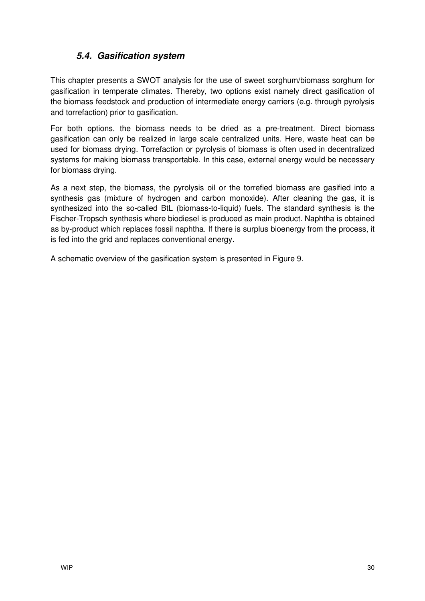### **5.4. Gasification system**

This chapter presents a SWOT analysis for the use of sweet sorghum/biomass sorghum for gasification in temperate climates. Thereby, two options exist namely direct gasification of the biomass feedstock and production of intermediate energy carriers (e.g. through pyrolysis and torrefaction) prior to gasification.

For both options, the biomass needs to be dried as a pre-treatment. Direct biomass gasification can only be realized in large scale centralized units. Here, waste heat can be used for biomass drying. Torrefaction or pyrolysis of biomass is often used in decentralized systems for making biomass transportable. In this case, external energy would be necessary for biomass drying.

As a next step, the biomass, the pyrolysis oil or the torrefied biomass are gasified into a synthesis gas (mixture of hydrogen and carbon monoxide). After cleaning the gas, it is synthesized into the so-called BtL (biomass-to-liquid) fuels. The standard synthesis is the Fischer-Tropsch synthesis where biodiesel is produced as main product. Naphtha is obtained as by-product which replaces fossil naphtha. If there is surplus bioenergy from the process, it is fed into the grid and replaces conventional energy.

A schematic overview of the gasification system is presented in Figure 9.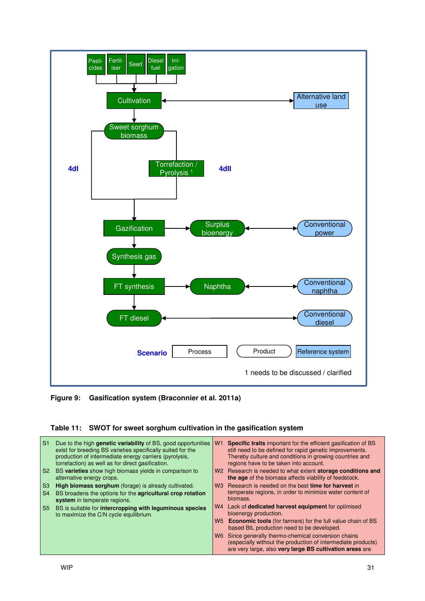

**Figure 9: Gasification system (Braconnier et al. 2011a)** 

#### **Table 11: SWOT for sweet sorghum cultivation in the gasification system**

| S <sub>1</sub> | Due to the high <b>genetic variability</b> of BS, good opportunities<br>exist for breeding BS varieties specifically suited for the<br>production of intermediate energy carriers (pyrolysis,<br>torrefaction) as well as for direct gasification. | W <sub>1</sub> | <b>Specific traits</b> important for the efficient gasification of BS<br>still need to be defined for rapid genetic improvements.<br>Thereby culture and conditions in growing countries and<br>regions have to be taken into account. |
|----------------|----------------------------------------------------------------------------------------------------------------------------------------------------------------------------------------------------------------------------------------------------|----------------|----------------------------------------------------------------------------------------------------------------------------------------------------------------------------------------------------------------------------------------|
|                | S2 BS varieties show high biomass yields in comparison to<br>alternative energy crops.                                                                                                                                                             | W2             | Research is needed to what extent storage conditions and<br>the age of the biomass affects viability of feedstock.                                                                                                                     |
| S <sub>3</sub> | <b>High biomass sorghum</b> (forage) is already cultivated.                                                                                                                                                                                        | W <sub>3</sub> | Research is needed on the best time for harvest in                                                                                                                                                                                     |
| <b>S4</b>      | BS broadens the options for the <b>agricultural crop rotation</b><br>system in temperate regions.                                                                                                                                                  |                | temperate regions, in order to minimize water content of<br>biomass.                                                                                                                                                                   |
| <b>S5</b>      | BS is suitable for intercropping with leguminous species<br>to maximize the C/N cycle equilibrium.                                                                                                                                                 | W4             | Lack of dedicated harvest equipment for optimised<br>bioenergy production.                                                                                                                                                             |
|                |                                                                                                                                                                                                                                                    |                | W5 Economic tools (for farmers) for the full value chain of BS<br>based BtL production need to be developed.                                                                                                                           |
|                |                                                                                                                                                                                                                                                    | W6.            | Since generally thermo-chemical conversion chains<br>(especially without the production of intermediate products)<br>are very large, also very large BS cultivation areas are                                                          |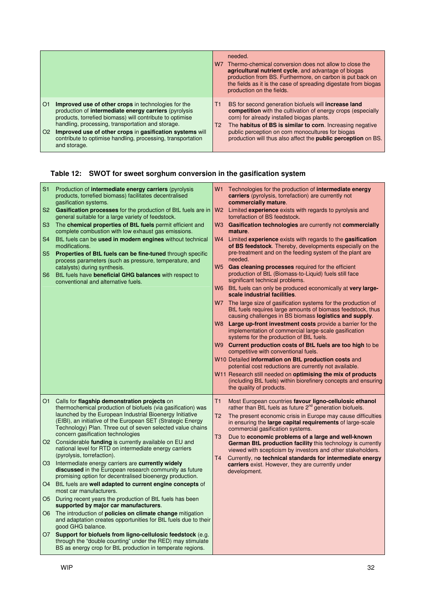|                                                                                                                                                                                                                                                                                                                                                                                                                     | needed.<br>Thermo-chemical conversion does not allow to close the<br>W7<br>agricultural nutrient cycle, and advantage of biogas<br>production from BS. Furthermore, on carbon is put back on<br>the fields as it is the case of spreading digestate from biogas<br>production on the fields.                                                                                           |
|---------------------------------------------------------------------------------------------------------------------------------------------------------------------------------------------------------------------------------------------------------------------------------------------------------------------------------------------------------------------------------------------------------------------|----------------------------------------------------------------------------------------------------------------------------------------------------------------------------------------------------------------------------------------------------------------------------------------------------------------------------------------------------------------------------------------|
| <b>Improved use of other crops</b> in technologies for the<br>O <sub>1</sub><br>production of intermediate energy carriers (pyrolysis<br>products, torrefied biomass) will contribute to optimise<br>handling, processing, transportation and storage.<br>O <sub>2</sub><br>Improved use of other crops in gasification systems will<br>contribute to optimise handling, processing, transportation<br>and storage. | BS for second generation biofuels will <b>increase land</b><br>T1<br><b>competition</b> with the cultivation of energy crops (especially<br>corn) for already installed biogas plants.<br>The habitus of BS is similar to corn. Increasing negative<br>T2<br>public perception on corn monocultures for biogas<br>production will thus also affect the <b>public perception</b> on BS. |

## **Table 12: SWOT for sweet sorghum conversion in the gasification system**

| S1   | Production of intermediate energy carriers (pyrolysis<br>products, torrefied biomass) facilitates decentralised<br>gasification systems.                                                  | W1<br>Technologies for the production of <b>intermediate energy</b><br>carriers (pyrolysis, torrefaction) are currently not<br>commercially mature.  |
|------|-------------------------------------------------------------------------------------------------------------------------------------------------------------------------------------------|------------------------------------------------------------------------------------------------------------------------------------------------------|
| S2.  | Gasification processes for the production of BtL fuels are in<br>general suitable for a large variety of feedstock.                                                                       | W2 Limited experience exists with regards to pyrolysis and<br>torrefaction of BS feedstock.                                                          |
| S3   | The chemical properties of BtL fuels permit efficient and<br>complete combustion with low exhaust gas emissions.                                                                          | Gasification technologies are currently not commercially<br>W3<br>mature.                                                                            |
| S4   | BtL fuels can be used in modern engines without technical<br>modifications.                                                                                                               | W4<br>Limited experience exists with regards to the gasification<br>of BS feedstock. Thereby, developments especially on the                         |
| S5   | Properties of BtL fuels can be fine-tuned through specific<br>process parameters (such as pressure, temperature, and                                                                      | pre-treatment and on the feeding system of the plant are<br>needed.                                                                                  |
| S6   | catalysts) during synthesis.<br>BtL fuels have beneficial GHG balances with respect to<br>conventional and alternative fuels.                                                             | W5<br>Gas cleaning processes required for the efficient<br>production of BtL (Biomass-to-Liquid) fuels still face<br>significant technical problems. |
|      |                                                                                                                                                                                           | W6 BtL fuels can only be produced economically at very large-<br>scale industrial facilities.                                                        |
|      |                                                                                                                                                                                           | W7 The large size of gasification systems for the production of<br>BtL fuels requires large amounts of biomass feedstock, thus                       |
|      |                                                                                                                                                                                           | causing challenges in BS biomass logistics and supply.<br>W8 Large up-front investment costs provide a barrier for the                               |
|      |                                                                                                                                                                                           | implementation of commercial large-scale gasification<br>systems for the production of BtL fuels.                                                    |
|      |                                                                                                                                                                                           | W9 Current production costs of BtL fuels are too high to be<br>competitive with conventional fuels.                                                  |
|      |                                                                                                                                                                                           | W10 Detailed information on BtL production costs and<br>potential cost reductions are currently not available.                                       |
|      |                                                                                                                                                                                           | W11 Research still needed on optimising the mix of products                                                                                          |
|      |                                                                                                                                                                                           | (including BtL fuels) within biorefinery concepts and ensuring<br>the quality of products.                                                           |
|      | O1 Calls for flagship demonstration projects on<br>thermochemical production of biofuels (via gasification) was                                                                           | T1<br>Most European countries favour ligno-cellulosic ethanol<br>rather than BtL fuels as future 2 <sup>nd</sup> generation biofuels.                |
|      | launched by the European Industrial Bioenergy Initiative<br>(EIBI), an initiative of the European SET (Strategic Energy                                                                   | T <sub>2</sub><br>The present economic crisis in Europe may cause difficulties<br>in ensuring the large capital requirements of large-scale          |
|      | Technology) Plan. Three out of seven selected value chains<br>concern gasification technologies                                                                                           | commercial gasification systems.                                                                                                                     |
|      | O2 Considerable funding is currently available on EU and<br>national level for RTD on intermediate energy carriers                                                                        | Due to economic problems of a large and well-known<br>T3<br>German BtL production facility this technology is currently                              |
|      | (pyrolysis, torrefaction).                                                                                                                                                                | viewed with scepticism by investors and other stakeholders.<br>T <sub>4</sub><br>Currently, no technical standards for intermediate energy           |
|      | O3 Intermediate energy carriers are currently widely<br>discussed in the European research community as future<br>promising option for decentralised bioenergy production.                | carriers exist. However, they are currently under<br>development.                                                                                    |
|      | O4 BtL fuels are well adapted to current engine concepts of<br>most car manufacturers.                                                                                                    |                                                                                                                                                      |
| O5 I | During recent years the production of BtL fuels has been<br>supported by major car manufacturers.                                                                                         |                                                                                                                                                      |
|      | O6 The introduction of <b>policies on climate change</b> mitigation<br>and adaptation creates opportunities for BtL fuels due to their<br>good GHG balance.                               |                                                                                                                                                      |
|      | O7 Support for biofuels from ligno-cellulosic feedstock (e.g.<br>through the "double counting" under the RED) may stimulate<br>BS as energy crop for BtL production in temperate regions. |                                                                                                                                                      |
|      |                                                                                                                                                                                           |                                                                                                                                                      |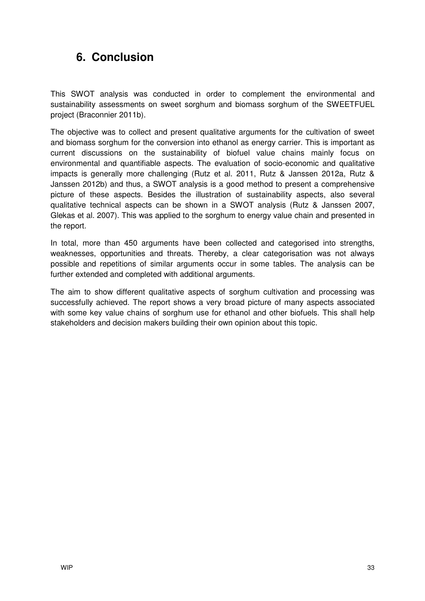## **6. Conclusion**

This SWOT analysis was conducted in order to complement the environmental and sustainability assessments on sweet sorghum and biomass sorghum of the SWEETFUEL project (Braconnier 2011b).

The objective was to collect and present qualitative arguments for the cultivation of sweet and biomass sorghum for the conversion into ethanol as energy carrier. This is important as current discussions on the sustainability of biofuel value chains mainly focus on environmental and quantifiable aspects. The evaluation of socio-economic and qualitative impacts is generally more challenging (Rutz et al. 2011, Rutz & Janssen 2012a, Rutz & Janssen 2012b) and thus, a SWOT analysis is a good method to present a comprehensive picture of these aspects. Besides the illustration of sustainability aspects, also several qualitative technical aspects can be shown in a SWOT analysis (Rutz & Janssen 2007, Glekas et al. 2007). This was applied to the sorghum to energy value chain and presented in the report.

In total, more than 450 arguments have been collected and categorised into strengths, weaknesses, opportunities and threats. Thereby, a clear categorisation was not always possible and repetitions of similar arguments occur in some tables. The analysis can be further extended and completed with additional arguments.

The aim to show different qualitative aspects of sorghum cultivation and processing was successfully achieved. The report shows a very broad picture of many aspects associated with some key value chains of sorghum use for ethanol and other biofuels. This shall help stakeholders and decision makers building their own opinion about this topic.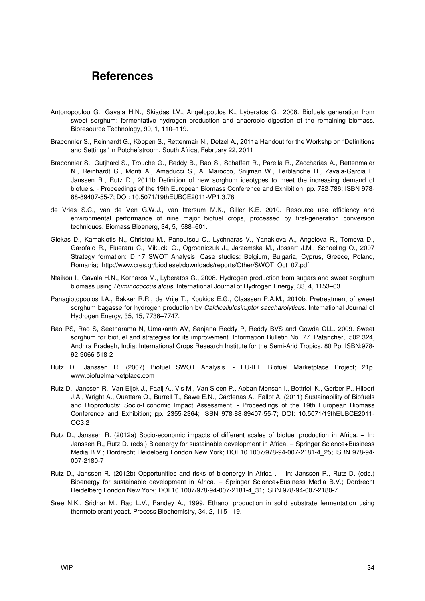### **References**

- Antonopoulou G., Gavala H.N., Skiadas I.V., Angelopoulos K., Lyberatos G., 2008. Biofuels generation from sweet sorghum: fermentative hydrogen production and anaerobic digestion of the remaining biomass. Bioresource Technology, 99, 1, 110–119.
- Braconnier S., Reinhardt G., Köppen S., Rettenmair N., Detzel A., 2011a Handout for the Workshp on "Definitions and Settings" in Potchefstroom, South Africa, February 22, 2011
- Braconnier S., Gutjhard S., Trouche G., Reddy B., Rao S., Schaffert R., Parella R., Zaccharias A., Rettenmaier N., Reinhardt G., Monti A., Amaducci S., A. Marocco, Snijman W., Terblanche H., Zavala-Garcia F. Janssen R., Rutz D., 2011b Definition of new sorghum ideotypes to meet the increasing demand of biofuels. - Proceedings of the 19th European Biomass Conference and Exhibition; pp. 782-786; ISBN 978- 88-89407-55-7; DOI: 10.5071/19thEUBCE2011-VP1.3.78
- de Vries S.C., van de Ven G.W.J., van Ittersum M.K., Giller K.E. 2010. Resource use efficiency and environmental performance of nine major biofuel crops, processed by first-generation conversion techniques. Biomass Bioenerg, 34, 5, 588–601.
- Glekas D., Kamakiotis N., Christou M., Panoutsou C., Lychnaras V., Yanakieva A., Angelova R., Tomova D., Garofalo R., Flueraru C., Mikucki O., Ogrodniczuk J., Jarzemska M., Jossart J.M., Schoeling O., 2007 Strategy formation: D 17 SWOT Analysis; Case studies: Belgium, Bulgaria, Cyprus, Greece, Poland, Romania; http://www.cres.gr/biodiesel/downloads/reports/Other/SWOT\_Oct\_07.pdf
- Ntaikou I., Gavala H.N., Kornaros M., Lyberatos G., 2008. Hydrogen production from sugars and sweet sorghum biomass using Ruminococcus albus. International Journal of Hydrogen Energy, 33, 4, 1153–63.
- Panagiotopoulos I.A., Bakker R.R., de Vrije T., Koukios E.G., Claassen P.A.M., 2010b. Pretreatment of sweet sorghum bagasse for hydrogen production by Caldicellulosiruptor saccharolyticus. International Journal of Hydrogen Energy, 35, 15, 7738–7747.
- Rao PS, Rao S, Seetharama N, Umakanth AV, Sanjana Reddy P, Reddy BVS and Gowda CLL. 2009. Sweet sorghum for biofuel and strategies for its improvement. Information Bulletin No. 77. Patancheru 502 324, Andhra Pradesh, India: International Crops Research Institute for the Semi-Arid Tropics. 80 Pp. ISBN:978- 92-9066-518-2
- Rutz D., Janssen R. (2007) Biofuel SWOT Analysis. EU-IEE Biofuel Marketplace Project; 21p. www.biofuelmarketplace.com
- Rutz D., Janssen R., Van Eijck J., Faaij A., Vis M., Van Sleen P., Abban-Mensah I., Bottriell K., Gerber P., Hilbert J.A., Wright A., Ouattara O., Burrell T., Sawe E.N., Cárdenas A., Fallot A. (2011) Sustainability of Biofuels and Bioproducts: Socio-Economic Impact Assessment. - Proceedings of the 19th European Biomass Conference and Exhibition; pp. 2355-2364; ISBN 978-88-89407-55-7; DOI: 10.5071/19thEUBCE2011- OC3.2
- Rutz D., Janssen R. (2012a) Socio-economic impacts of different scales of biofuel production in Africa. In: Janssen R., Rutz D. (eds.) Bioenergy for sustainable development in Africa. – Springer Science+Business Media B.V.; Dordrecht Heidelberg London New York; DOI 10.1007/978-94-007-2181-4\_25; ISBN 978-94- 007-2180-7
- Rutz D., Janssen R. (2012b) Opportunities and risks of bioenergy in Africa . In: Janssen R., Rutz D. (eds.) Bioenergy for sustainable development in Africa. – Springer Science+Business Media B.V.; Dordrecht Heidelberg London New York; DOI 10.1007/978-94-007-2181-4\_31; ISBN 978-94-007-2180-7
- Sree N.K., Sridhar M., Rao L.V., Pandey A., 1999. Ethanol production in solid substrate fermentation using thermotolerant yeast. Process Biochemistry, 34, 2, 115-119.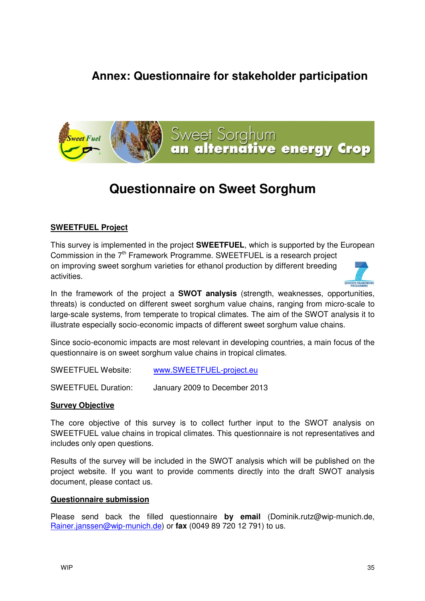## **Annex: Questionnaire for stakeholder participation**



## **Questionnaire on Sweet Sorghum**

#### **SWEETFUEL Project**

This survey is implemented in the project **SWEETFUEL**, which is supported by the European Commission in the  $7<sup>th</sup>$  Framework Programme. SWEETFUEL is a research project on improving sweet sorghum varieties for ethanol production by different breeding activities.



In the framework of the project a **SWOT analysis** (strength, weaknesses, opportunities, threats) is conducted on different sweet sorghum value chains, ranging from micro-scale to large-scale systems, from temperate to tropical climates. The aim of the SWOT analysis it to illustrate especially socio-economic impacts of different sweet sorghum value chains.

Since socio-economic impacts are most relevant in developing countries, a main focus of the questionnaire is on sweet sorghum value chains in tropical climates.

| <b>SWEETFUEL Website:</b> | www.SWEETFUEL-project.eu |
|---------------------------|--------------------------|
|                           |                          |

SWEETFUEL Duration: January 2009 to December 2013

#### **Survey Objective**

The core objective of this survey is to collect further input to the SWOT analysis on SWEETFUEL value chains in tropical climates. This questionnaire is not representatives and includes only open questions.

Results of the survey will be included in the SWOT analysis which will be published on the project website. If you want to provide comments directly into the draft SWOT analysis document, please contact us.

#### **Questionnaire submission**

Please send back the filled questionnaire **by email** (Dominik.rutz@wip-munich.de, Rainer.janssen@wip-munich.de) or **fax** (0049 89 720 12 791) to us.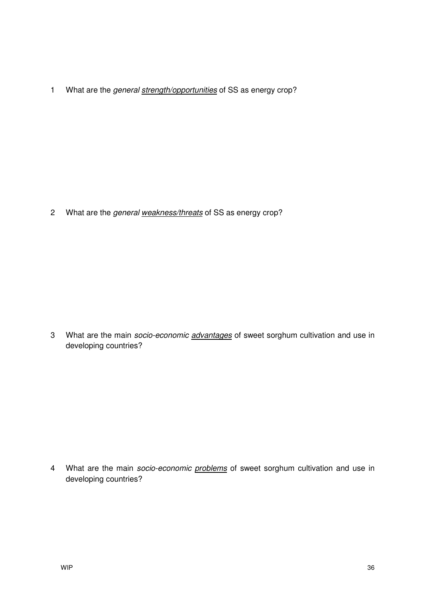1 What are the general strength/opportunities of SS as energy crop?

2 What are the general weakness/threats of SS as energy crop?

3 What are the main socio-economic advantages of sweet sorghum cultivation and use in developing countries?

4 What are the main *socio-economic problems* of sweet sorghum cultivation and use in developing countries?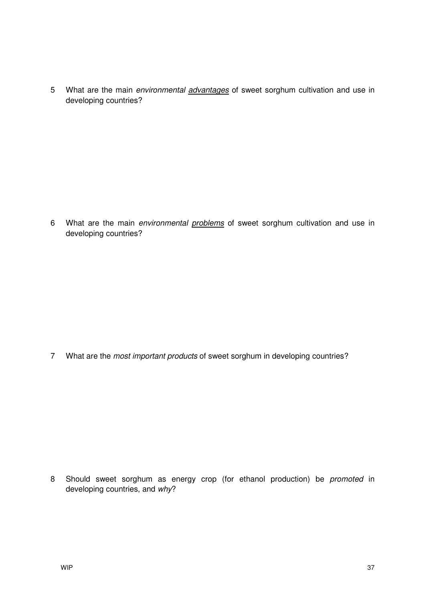5 What are the main environmental *advantages* of sweet sorghum cultivation and use in developing countries?

6 What are the main environmental problems of sweet sorghum cultivation and use in developing countries?

7 What are the *most important products* of sweet sorghum in developing countries?

8 Should sweet sorghum as energy crop (for ethanol production) be promoted in developing countries, and why?